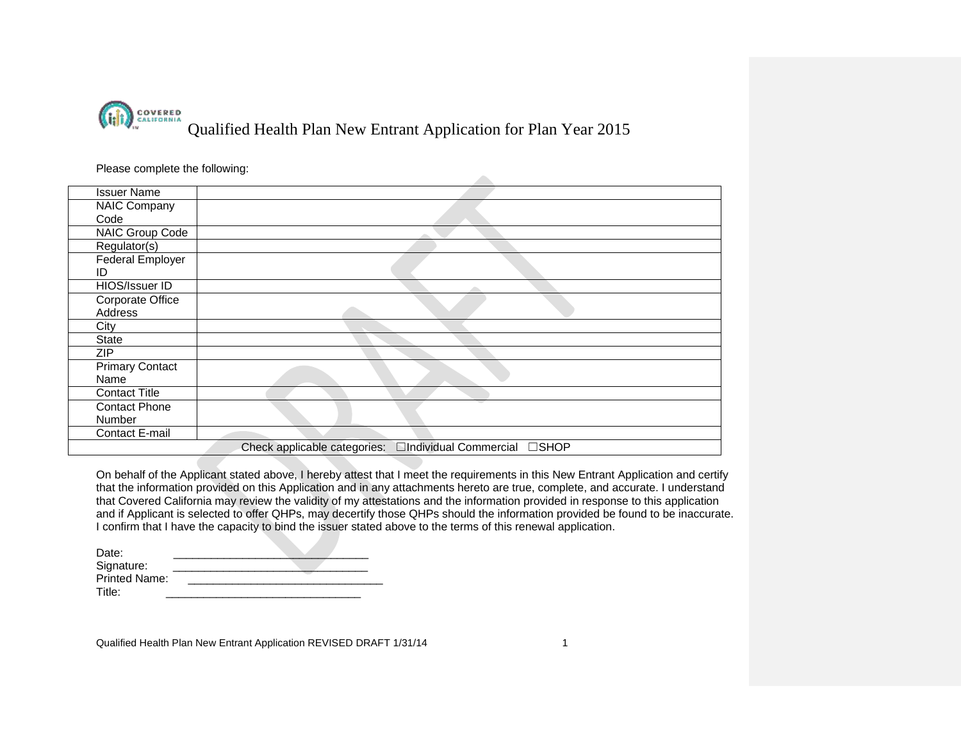

| <b>Issuer Name</b>      |  |
|-------------------------|--|
| NAIC Company            |  |
| Code                    |  |
| NAIC Group Code         |  |
| Regulator(s)            |  |
| <b>Federal Employer</b> |  |
| ID                      |  |
| HIOS/Issuer ID          |  |
| Corporate Office        |  |
| Address                 |  |
| City                    |  |
| State                   |  |
| ZIP                     |  |
| <b>Primary Contact</b>  |  |
| Name                    |  |
| <b>Contact Title</b>    |  |
| <b>Contact Phone</b>    |  |
| Number                  |  |
| Contact E-mail          |  |

On behalf of the Applicant stated above, I hereby attest that I meet the requirements in this New Entrant Application and certify that the information provided on this Application and in any attachments hereto are true, complete, and accurate. I understand that Covered California may review the validity of my attestations and the information provided in response to this application and if Applicant is selected to offer QHPs, may decertify those QHPs should the information provided be found to be inaccurate. I confirm that I have the capacity to bind the issuer stated above to the terms of this renewal application.

| Date:                |  |
|----------------------|--|
| Signature:           |  |
| <b>Printed Name:</b> |  |
| Title:               |  |

Qualified Health Plan New Entrant Application REVISED DRAFT 1/31/14 1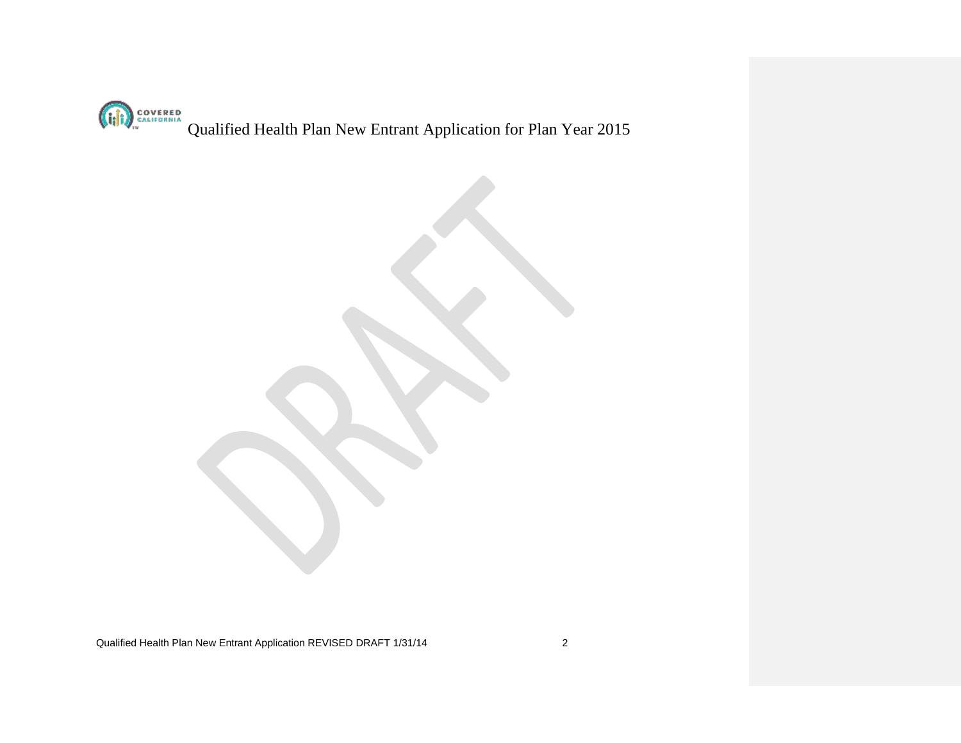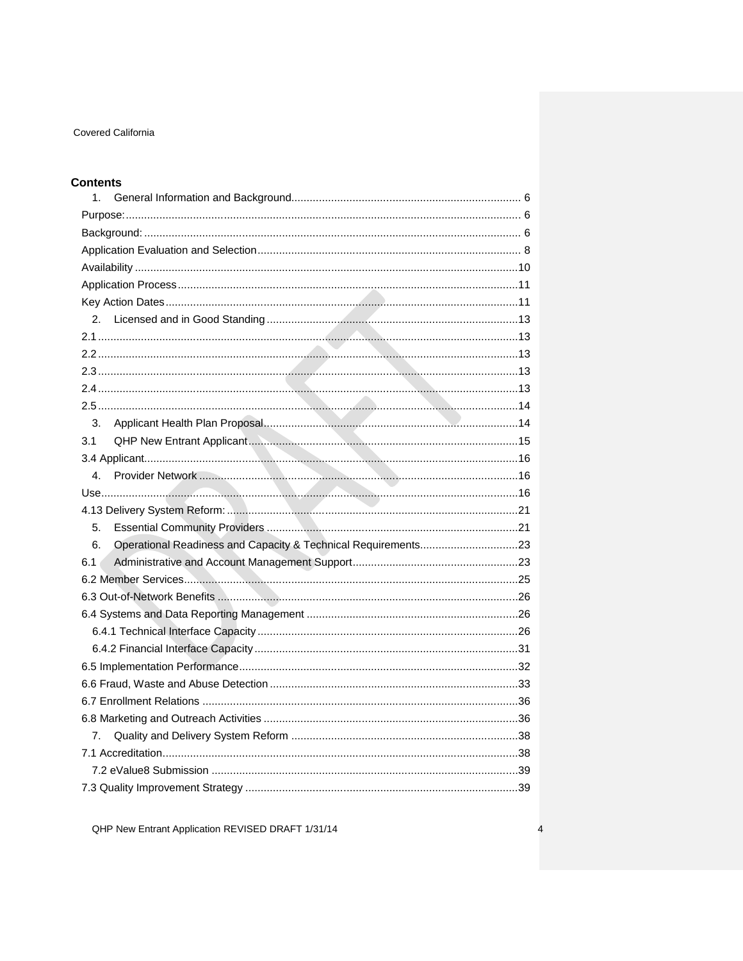# **Contents**

| 1.                                                                  |  |  |  |  |
|---------------------------------------------------------------------|--|--|--|--|
|                                                                     |  |  |  |  |
|                                                                     |  |  |  |  |
|                                                                     |  |  |  |  |
|                                                                     |  |  |  |  |
|                                                                     |  |  |  |  |
|                                                                     |  |  |  |  |
| 2.                                                                  |  |  |  |  |
|                                                                     |  |  |  |  |
|                                                                     |  |  |  |  |
|                                                                     |  |  |  |  |
|                                                                     |  |  |  |  |
|                                                                     |  |  |  |  |
| 3.                                                                  |  |  |  |  |
| 3.1                                                                 |  |  |  |  |
|                                                                     |  |  |  |  |
| $\mathbf{4}$ .                                                      |  |  |  |  |
|                                                                     |  |  |  |  |
|                                                                     |  |  |  |  |
| 5.                                                                  |  |  |  |  |
| Operational Readiness and Capacity & Technical Requirements23<br>6. |  |  |  |  |
| 6.1                                                                 |  |  |  |  |
|                                                                     |  |  |  |  |
|                                                                     |  |  |  |  |
|                                                                     |  |  |  |  |
|                                                                     |  |  |  |  |
|                                                                     |  |  |  |  |
|                                                                     |  |  |  |  |
|                                                                     |  |  |  |  |
|                                                                     |  |  |  |  |
|                                                                     |  |  |  |  |
| 7.                                                                  |  |  |  |  |
|                                                                     |  |  |  |  |
|                                                                     |  |  |  |  |
|                                                                     |  |  |  |  |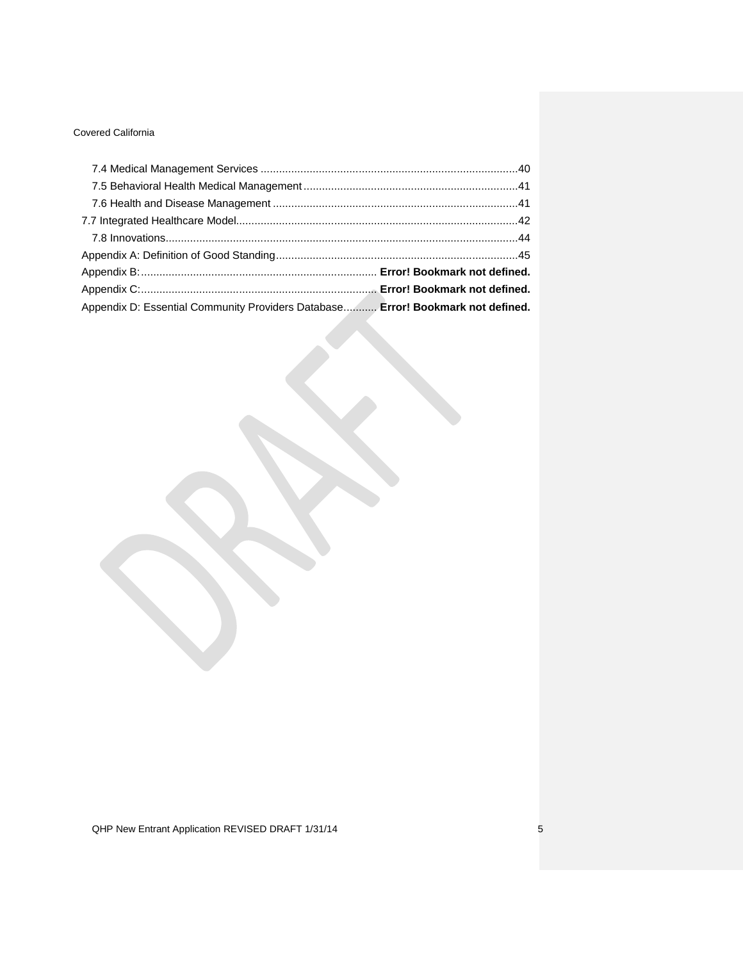| Appendix D: Essential Community Providers Database Error! Bookmark not defined. |  |
|---------------------------------------------------------------------------------|--|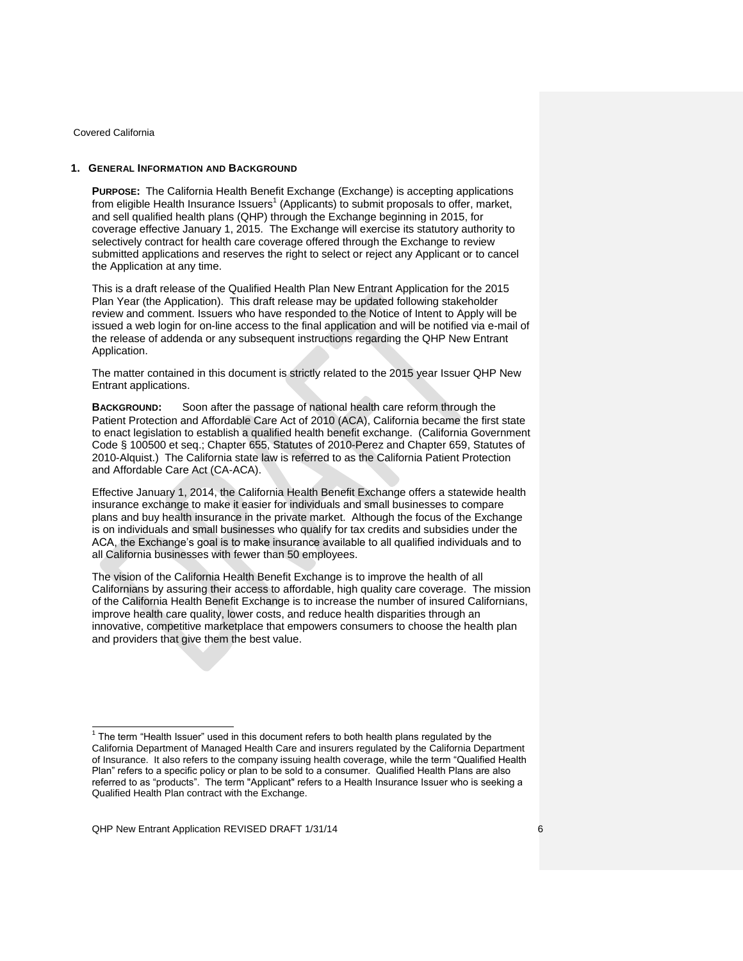### <span id="page-5-1"></span><span id="page-5-0"></span>**1. GENERAL INFORMATION AND BACKGROUND**

**PURPOSE:** The California Health Benefit Exchange (Exchange) is accepting applications from eligible Health Insurance Issuers<sup>1</sup> (Applicants) to submit proposals to offer, market, and sell qualified health plans (QHP) through the Exchange beginning in 2015, for coverage effective January 1, 2015. The Exchange will exercise its statutory authority to selectively contract for health care coverage offered through the Exchange to review submitted applications and reserves the right to select or reject any Applicant or to cancel the Application at any time.

This is a draft release of the Qualified Health Plan New Entrant Application for the 2015 Plan Year (the Application). This draft release may be updated following stakeholder review and comment. Issuers who have responded to the Notice of Intent to Apply will be issued a web login for on-line access to the final application and will be notified via e-mail of the release of addenda or any subsequent instructions regarding the QHP New Entrant Application.

The matter contained in this document is strictly related to the 2015 year Issuer QHP New Entrant applications.

<span id="page-5-2"></span>**BACKGROUND:** Soon after the passage of national health care reform through the Patient Protection and Affordable Care Act of 2010 (ACA), California became the first state to enact legislation to establish a qualified health benefit exchange. (California Government Code § 100500 et seq.; Chapter 655, Statutes of 2010-Perez and Chapter 659, Statutes of 2010-Alquist.) The California state law is referred to as the California Patient Protection and Affordable Care Act (CA-ACA).

Effective January 1, 2014, the California Health Benefit Exchange offers a statewide health insurance exchange to make it easier for individuals and small businesses to compare plans and buy health insurance in the private market. Although the focus of the Exchange is on individuals and small businesses who qualify for tax credits and subsidies under the ACA, the Exchange's goal is to make insurance available to all qualified individuals and to all California businesses with fewer than 50 employees.

The vision of the California Health Benefit Exchange is to improve the health of all Californians by assuring their access to affordable, high quality care coverage. The mission of the California Health Benefit Exchange is to increase the number of insured Californians, improve health care quality, lower costs, and reduce health disparities through an innovative, competitive marketplace that empowers consumers to choose the health plan and providers that give them the best value.

 1 The term "Health Issuer" used in this document refers to both health plans regulated by the California Department of Managed Health Care and insurers regulated by the California Department of Insurance. It also refers to the company issuing health coverage, while the term "Qualified Health Plan" refers to a specific policy or plan to be sold to a consumer. Qualified Health Plans are also referred to as "products". The term "Applicant" refers to a Health Insurance Issuer who is seeking a Qualified Health Plan contract with the Exchange.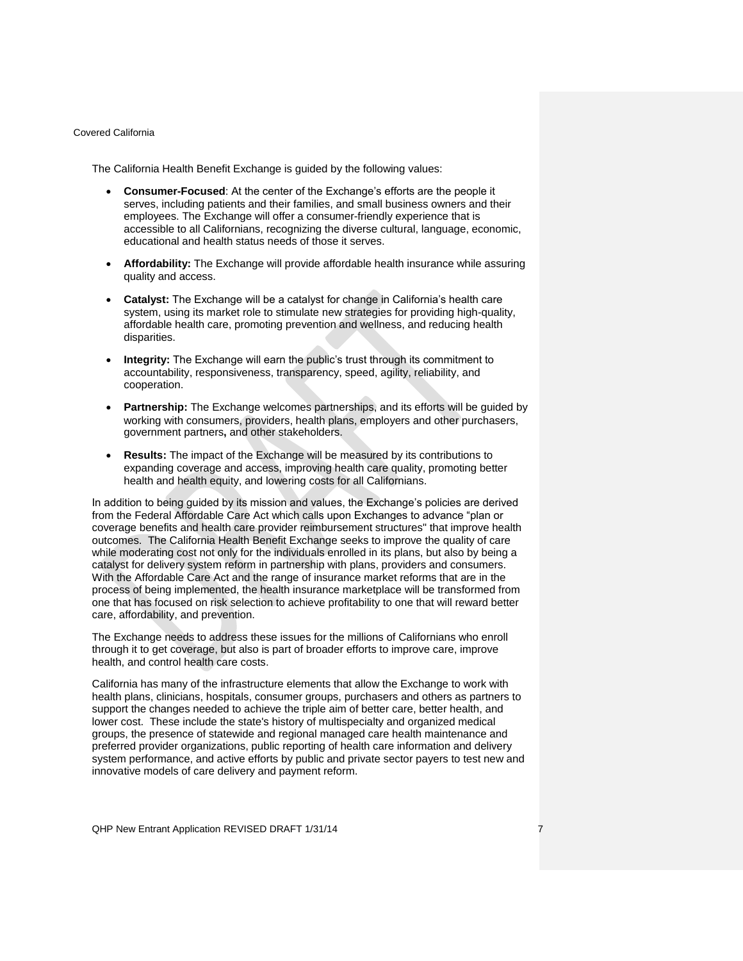The California Health Benefit Exchange is guided by the following values:

- **Consumer-Focused**: At the center of the Exchange's efforts are the people it serves, including patients and their families, and small business owners and their employees. The Exchange will offer a consumer-friendly experience that is accessible to all Californians, recognizing the diverse cultural, language, economic, educational and health status needs of those it serves.
- **Affordability:** The Exchange will provide affordable health insurance while assuring quality and access.
- **Catalyst:** The Exchange will be a catalyst for change in California's health care system, using its market role to stimulate new strategies for providing high-quality, affordable health care, promoting prevention and wellness, and reducing health disparities.
- **Integrity:** The Exchange will earn the public's trust through its commitment to accountability, responsiveness, transparency, speed, agility, reliability, and cooperation.
- **Partnership:** The Exchange welcomes partnerships, and its efforts will be guided by working with consumers, providers, health plans, employers and other purchasers, government partners**,** and other stakeholders.
- **Results:** The impact of the Exchange will be measured by its contributions to expanding coverage and access, improving health care quality, promoting better health and health equity, and lowering costs for all Californians.

In addition to being guided by its mission and values, the Exchange's policies are derived from the Federal Affordable Care Act which calls upon Exchanges to advance "plan or coverage benefits and health care provider reimbursement structures" that improve health outcomes. The California Health Benefit Exchange seeks to improve the quality of care while moderating cost not only for the individuals enrolled in its plans, but also by being a catalyst for delivery system reform in partnership with plans, providers and consumers. With the Affordable Care Act and the range of insurance market reforms that are in the process of being implemented, the health insurance marketplace will be transformed from one that has focused on risk selection to achieve profitability to one that will reward better care, affordability, and prevention.

The Exchange needs to address these issues for the millions of Californians who enroll through it to get coverage, but also is part of broader efforts to improve care, improve health, and control health care costs.

California has many of the infrastructure elements that allow the Exchange to work with health plans, clinicians, hospitals, consumer groups, purchasers and others as partners to support the changes needed to achieve the triple aim of better care, better health, and lower cost. These include the state's history of multispecialty and organized medical groups, the presence of statewide and regional managed care health maintenance and preferred provider organizations, public reporting of health care information and delivery system performance, and active efforts by public and private sector payers to test new and innovative models of care delivery and payment reform.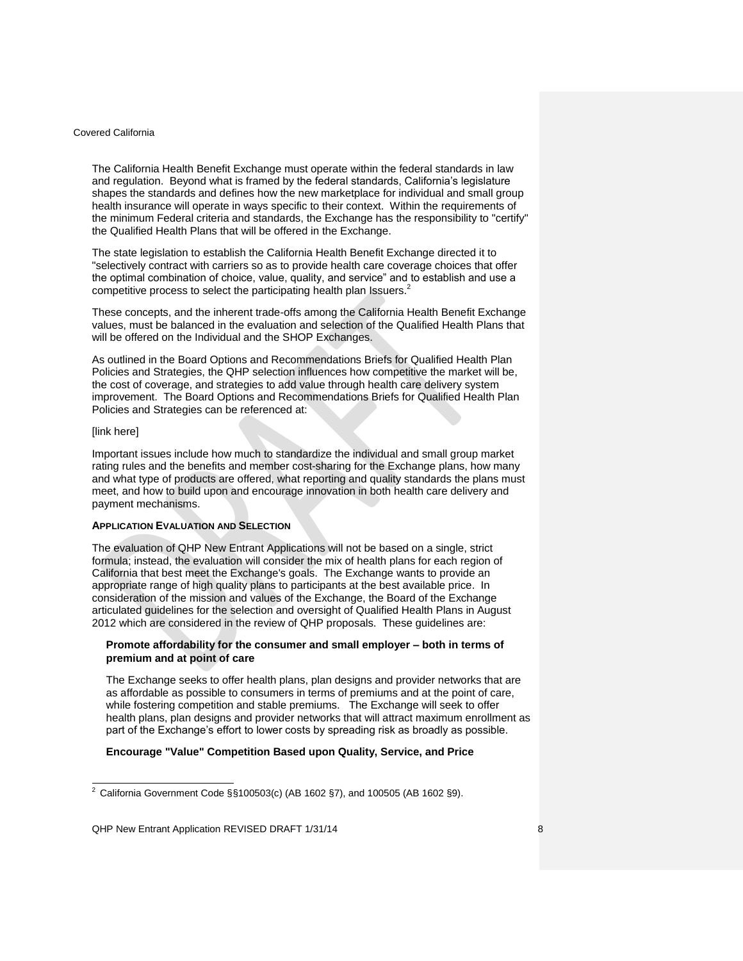The California Health Benefit Exchange must operate within the federal standards in law and regulation. Beyond what is framed by the federal standards, California's legislature shapes the standards and defines how the new marketplace for individual and small group health insurance will operate in ways specific to their context. Within the requirements of the minimum Federal criteria and standards, the Exchange has the responsibility to "certify" the Qualified Health Plans that will be offered in the Exchange.

The state legislation to establish the California Health Benefit Exchange directed it to "selectively contract with carriers so as to provide health care coverage choices that offer the optimal combination of choice, value, quality, and service" and to establish and use a competitive process to select the participating health plan Issuers.<sup>2</sup>

These concepts, and the inherent trade-offs among the California Health Benefit Exchange values, must be balanced in the evaluation and selection of the Qualified Health Plans that will be offered on the Individual and the SHOP Exchanges.

As outlined in the Board Options and Recommendations Briefs for Qualified Health Plan Policies and Strategies, the QHP selection influences how competitive the market will be, the cost of coverage, and strategies to add value through health care delivery system improvement. The Board Options and Recommendations Briefs for Qualified Health Plan Policies and Strategies can be referenced at:

### [link here]

 $\overline{a}$ 

Important issues include how much to standardize the individual and small group market rating rules and the benefits and member cost-sharing for the Exchange plans, how many and what type of products are offered, what reporting and quality standards the plans must meet, and how to build upon and encourage innovation in both health care delivery and payment mechanisms.

## <span id="page-7-0"></span>**APPLICATION EVALUATION AND SELECTION**

The evaluation of QHP New Entrant Applications will not be based on a single, strict formula; instead, the evaluation will consider the mix of health plans for each region of California that best meet the Exchange's goals. The Exchange wants to provide an appropriate range of high quality plans to participants at the best available price. In consideration of the mission and values of the Exchange, the Board of the Exchange articulated guidelines for the selection and oversight of Qualified Health Plans in August 2012 which are considered in the review of QHP proposals. These guidelines are:

## **Promote affordability for the consumer and small employer – both in terms of premium and at point of care**

The Exchange seeks to offer health plans, plan designs and provider networks that are as affordable as possible to consumers in terms of premiums and at the point of care, while fostering competition and stable premiums. The Exchange will seek to offer health plans, plan designs and provider networks that will attract maximum enrollment as part of the Exchange's effort to lower costs by spreading risk as broadly as possible.

#### **Encourage "Value" Competition Based upon Quality, Service, and Price**

<sup>&</sup>lt;sup>2</sup> California Government Code §§100503(c) (AB 1602 §7), and 100505 (AB 1602 §9).

QHP New Entrant Application REVISED DRAFT 1/31/14 8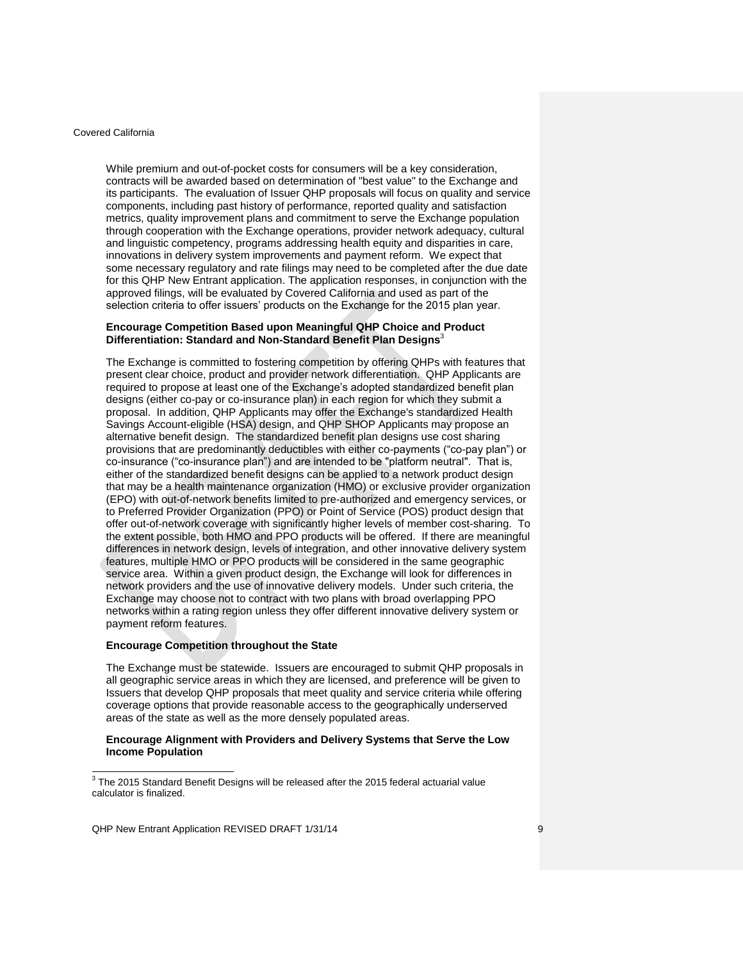While premium and out-of-pocket costs for consumers will be a key consideration, contracts will be awarded based on determination of "best value" to the Exchange and its participants. The evaluation of Issuer QHP proposals will focus on quality and service components, including past history of performance, reported quality and satisfaction metrics, quality improvement plans and commitment to serve the Exchange population through cooperation with the Exchange operations, provider network adequacy, cultural and linguistic competency, programs addressing health equity and disparities in care, innovations in delivery system improvements and payment reform. We expect that some necessary regulatory and rate filings may need to be completed after the due date for this QHP New Entrant application. The application responses, in conjunction with the approved filings, will be evaluated by Covered California and used as part of the selection criteria to offer issuers' products on the Exchange for the 2015 plan year.

### **Encourage Competition Based upon Meaningful QHP Choice and Product Differentiation: Standard and Non-Standard Benefit Plan Designs**<sup>3</sup>

The Exchange is committed to fostering competition by offering QHPs with features that present clear choice, product and provider network differentiation. QHP Applicants are required to propose at least one of the Exchange's adopted standardized benefit plan designs (either co-pay or co-insurance plan) in each region for which they submit a proposal. In addition, QHP Applicants may offer the Exchange's standardized Health Savings Account-eligible (HSA) design, and QHP SHOP Applicants may propose an alternative benefit design. The standardized benefit plan designs use cost sharing provisions that are predominantly deductibles with either co-payments ("co-pay plan") or co-insurance ("co-insurance plan") and are intended to be "platform neutral". That is, either of the standardized benefit designs can be applied to a network product design that may be a health maintenance organization (HMO) or exclusive provider organization (EPO) with out-of-network benefits limited to pre-authorized and emergency services, or to Preferred Provider Organization (PPO) or Point of Service (POS) product design that offer out-of-network coverage with significantly higher levels of member cost-sharing. To the extent possible, both HMO and PPO products will be offered. If there are meaningful differences in network design, levels of integration, and other innovative delivery system features, multiple HMO or PPO products will be considered in the same geographic service area. Within a given product design, the Exchange will look for differences in network providers and the use of innovative delivery models. Under such criteria, the Exchange may choose not to contract with two plans with broad overlapping PPO networks within a rating region unless they offer different innovative delivery system or payment reform features.

#### **Encourage Competition throughout the State**

The Exchange must be statewide. Issuers are encouraged to submit QHP proposals in all geographic service areas in which they are licensed, and preference will be given to Issuers that develop QHP proposals that meet quality and service criteria while offering coverage options that provide reasonable access to the geographically underserved areas of the state as well as the more densely populated areas.

#### **Encourage Alignment with Providers and Delivery Systems that Serve the Low Income Population**

 3 The 2015 Standard Benefit Designs will be released after the 2015 federal actuarial value calculator is finalized.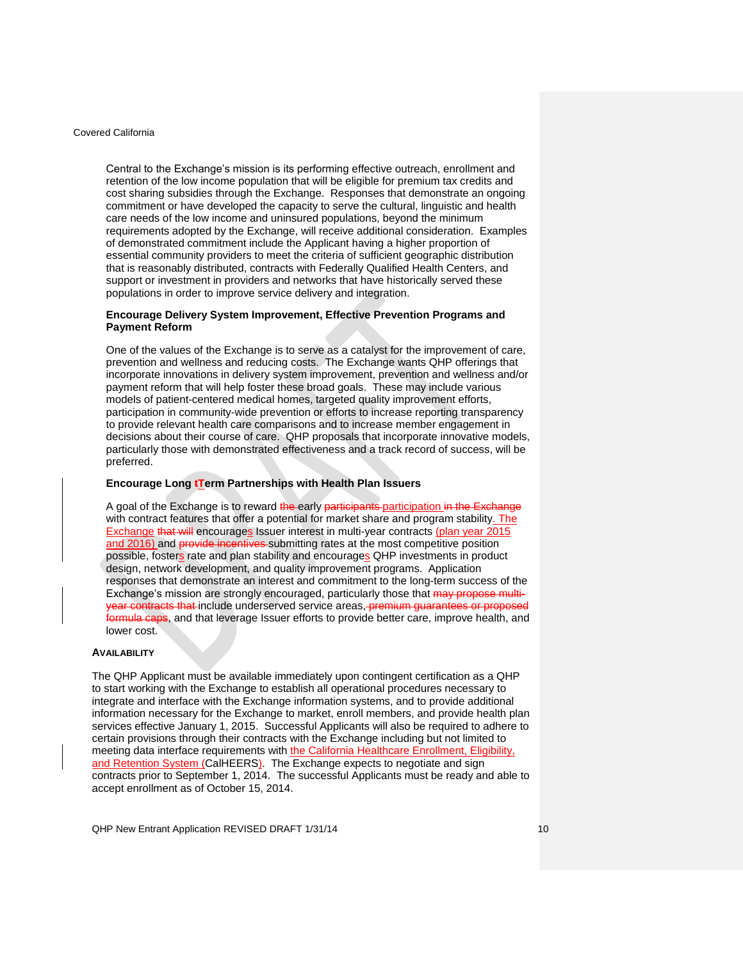Central to the Exchange's mission is its performing effective outreach, enrollment and retention of the low income population that will be eligible for premium tax credits and cost sharing subsidies through the Exchange. Responses that demonstrate an ongoing commitment or have developed the capacity to serve the cultural, linguistic and health care needs of the low income and uninsured populations, beyond the minimum requirements adopted by the Exchange, will receive additional consideration. Examples of demonstrated commitment include the Applicant having a higher proportion of essential community providers to meet the criteria of sufficient geographic distribution that is reasonably distributed, contracts with Federally Qualified Health Centers, and support or investment in providers and networks that have historically served these populations in order to improve service delivery and integration.

### **Encourage Delivery System Improvement, Effective Prevention Programs and Payment Reform**

One of the values of the Exchange is to serve as a catalyst for the improvement of care, prevention and wellness and reducing costs. The Exchange wants QHP offerings that incorporate innovations in delivery system improvement, prevention and wellness and/or payment reform that will help foster these broad goals. These may include various models of patient-centered medical homes, targeted quality improvement efforts, participation in community-wide prevention or efforts to increase reporting transparency to provide relevant health care comparisons and to increase member engagement in decisions about their course of care. QHP proposals that incorporate innovative models, particularly those with demonstrated effectiveness and a track record of success, will be preferred.

### **Encourage Long tTerm Partnerships with Health Plan Issuers**

A goal of the Exchange is to reward the early participants participation in the Exchange with contract features that offer a potential for market share and program stability. The Exchange that will encourages Issuer interest in multi-year contracts (plan year 2015 and 2016) and provide incentives-submitting rates at the most competitive position possible, fosters rate and plan stability and encourages QHP investments in product design, network development, and quality improvement programs. Application responses that demonstrate an interest and commitment to the long-term success of the Exchange's mission are strongly encouraged, particularly those that may propose multicontracts that include underserved service areas, premium guarantees or proposed formula caps, and that leverage Issuer efforts to provide better care, improve health, and lower cost.

### <span id="page-9-0"></span>**AVAILABILITY**

The QHP Applicant must be available immediately upon contingent certification as a QHP to start working with the Exchange to establish all operational procedures necessary to integrate and interface with the Exchange information systems, and to provide additional information necessary for the Exchange to market, enroll members, and provide health plan services effective January 1, 2015. Successful Applicants will also be required to adhere to certain provisions through their contracts with the Exchange including but not limited to meeting data interface requirements with the California Healthcare Enrollment, Eligibility, and Retention System (CalHEERS). The Exchange expects to negotiate and sign contracts prior to September 1, 2014. The successful Applicants must be ready and able to accept enrollment as of October 15, 2014.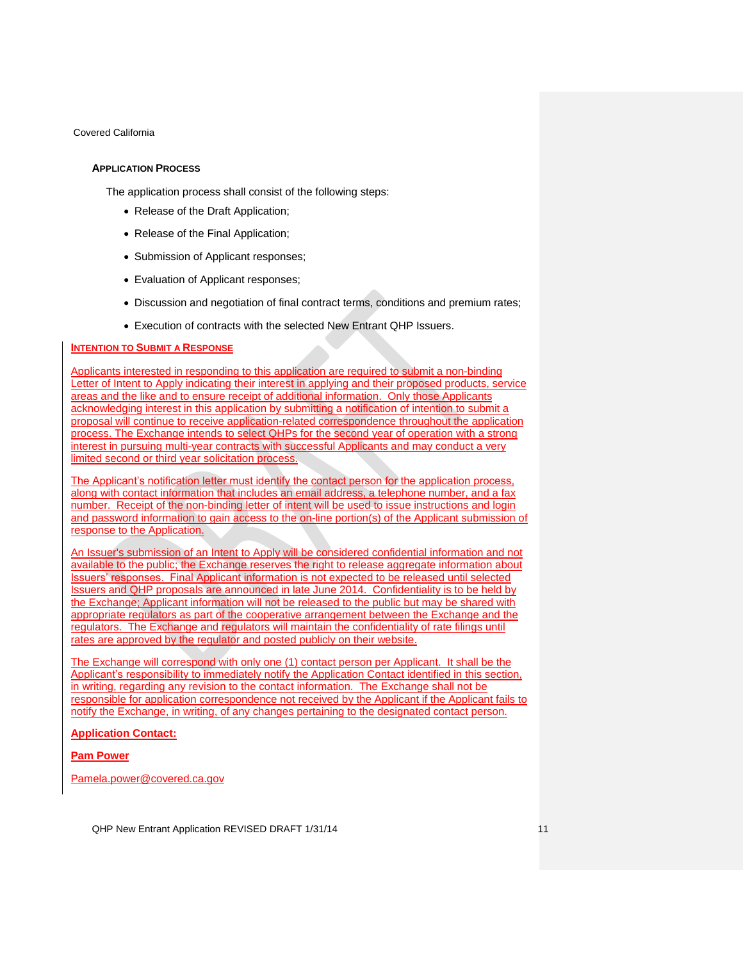### <span id="page-10-0"></span>**APPLICATION PROCESS**

The application process shall consist of the following steps:

- Release of the Draft Application;
- Release of the Final Application;
- Submission of Applicant responses;
- Evaluation of Applicant responses;
- Discussion and negotiation of final contract terms, conditions and premium rates;
- Execution of contracts with the selected New Entrant QHP Issuers.

## <span id="page-10-1"></span>**INTENTION TO SUBMIT A RESPONSE**

Applicants interested in responding to this application are required to submit a non-binding Letter of Intent to Apply indicating their interest in applying and their proposed products, service areas and the like and to ensure receipt of additional information. Only those Applicants acknowledging interest in this application by submitting a notification of intention to submit a proposal will continue to receive application-related correspondence throughout the application process. The Exchange intends to select QHPs for the second year of operation with a strong interest in pursuing multi-year contracts with successful Applicants and may conduct a very limited second or third year solicitation process.

The Applicant's notification letter must identify the contact person for the application process, along with contact information that includes an email address, a telephone number, and a fax number. Receipt of the non-binding letter of intent will be used to issue instructions and login and password information to gain access to the on-line portion(s) of the Applicant submission of response to the Application.

An Issuer's submission of an Intent to Apply will be considered confidential information and not available to the public; the Exchange reserves the right to release aggregate information about Issuers' responses. Final Applicant information is not expected to be released until selected Issuers and QHP proposals are announced in late June 2014. Confidentiality is to be held by the Exchange; Applicant information will not be released to the public but may be shared with appropriate regulators as part of the cooperative arrangement between the Exchange and the regulators. The Exchange and regulators will maintain the confidentiality of rate filings until rates are approved by the regulator and posted publicly on their website.

The Exchange will correspond with only one (1) contact person per Applicant. It shall be the Applicant's responsibility to immediately notify the Application Contact identified in this section, in writing, regarding any revision to the contact information. The Exchange shall not be responsible for application correspondence not received by the Applicant if the Applicant fails to notify the Exchange, in writing, of any changes pertaining to the designated contact person.

#### **Application Contact:**

## **Pam Power**

Pamela.power@covered.ca.gov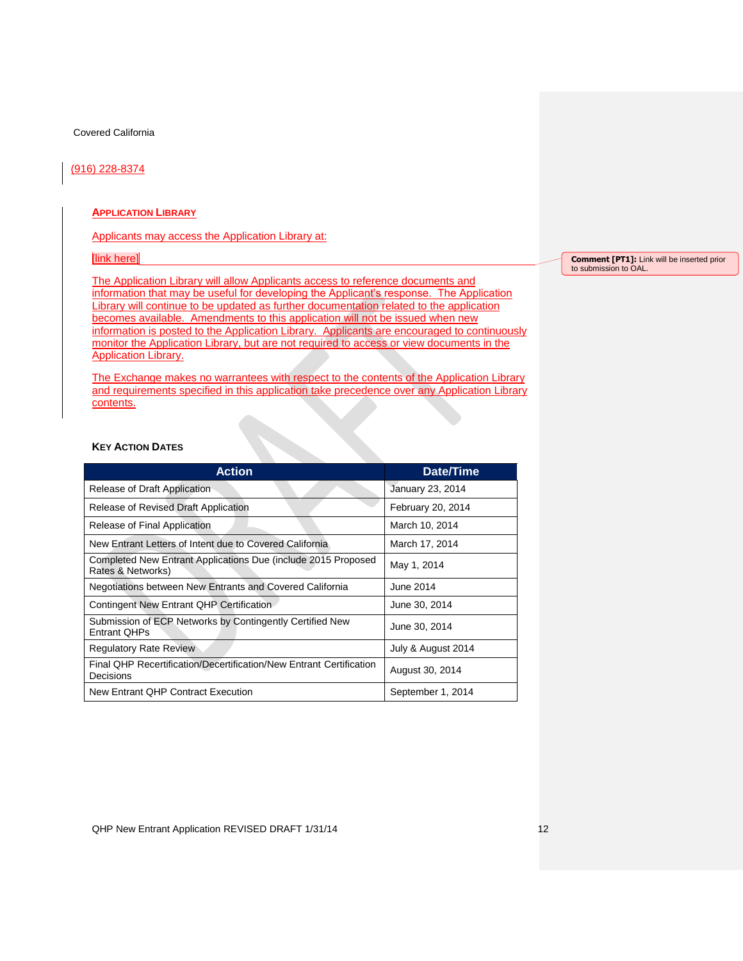### (916) 228-8374

### **APPLICATION LIBRARY**

Applicants may access the Application Library at:

### [link here]

The Application Library will allow Applicants access to reference documents and information that may be useful for developing the Applicant's response. The Application Library will continue to be updated as further documentation related to the application becomes available. Amendments to this application will not be issued when new information is posted to the Application Library. Applicants are encouraged to continuously monitor the Application Library, but are not required to access or view documents in the Application Library.

The Exchange makes no warrantees with respect to the contents of the Application Library and requirements specified in this application take precedence over any Application Library contents.

## **KEY ACTION DATES**

| <b>Action</b>                                                                      | Date/Time          |  |
|------------------------------------------------------------------------------------|--------------------|--|
| Release of Draft Application                                                       | January 23, 2014   |  |
| Release of Revised Draft Application                                               | February 20, 2014  |  |
| Release of Final Application                                                       | March 10, 2014     |  |
| New Entrant Letters of Intent due to Covered California                            | March 17, 2014     |  |
| Completed New Entrant Applications Due (include 2015 Proposed<br>Rates & Networks) | May 1, 2014        |  |
| Negotiations between New Entrants and Covered California                           | June 2014          |  |
| Contingent New Entrant QHP Certification                                           | June 30, 2014      |  |
| Submission of ECP Networks by Contingently Certified New<br><b>Entrant QHPs</b>    | June 30, 2014      |  |
| <b>Regulatory Rate Review</b>                                                      | July & August 2014 |  |
| Final QHP Recertification/Decertification/New Entrant Certification<br>Decisions   | August 30, 2014    |  |
| New Entrant QHP Contract Execution                                                 | September 1, 2014  |  |

**Comment [PT1]:** Link will be inserted prior to submission to OAL.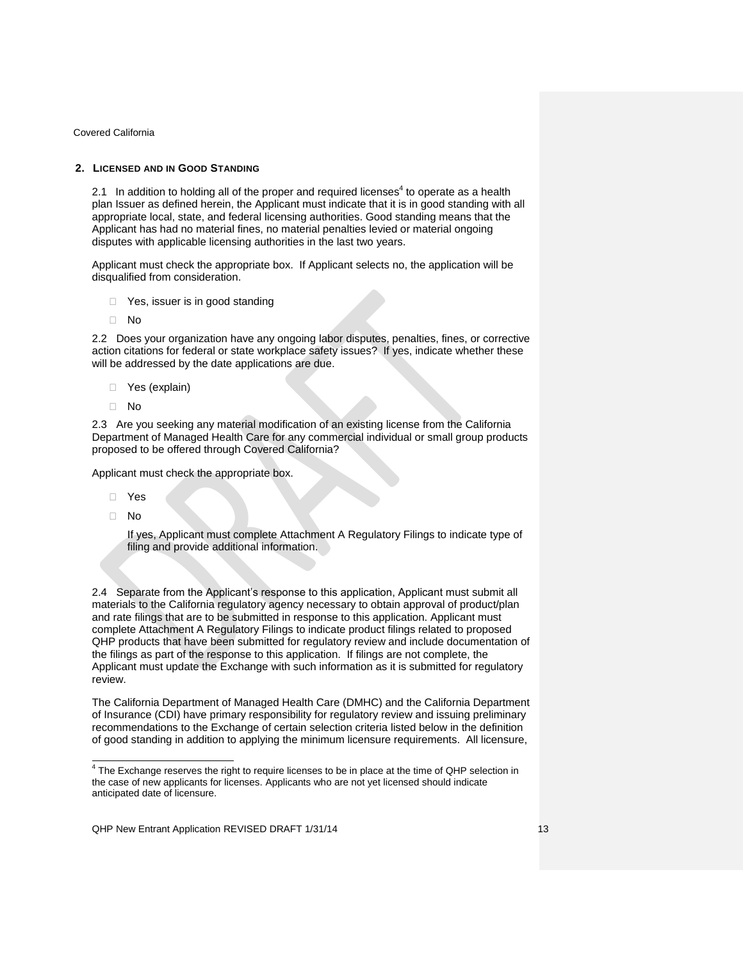## <span id="page-12-0"></span>**2. LICENSED AND IN GOOD STANDING**

<span id="page-12-1"></span>2.1 In addition to holding all of the proper and required licenses<sup>4</sup> to operate as a health plan Issuer as defined herein, the Applicant must indicate that it is in good standing with all appropriate local, state, and federal licensing authorities. Good standing means that the Applicant has had no material fines, no material penalties levied or material ongoing disputes with applicable licensing authorities in the last two years.

Applicant must check the appropriate box. If Applicant selects no, the application will be disqualified from consideration.

- □ Yes, issuer is in good standing
- No

<span id="page-12-2"></span>2.2 Does your organization have any ongoing labor disputes, penalties, fines, or corrective action citations for federal or state workplace safety issues? If yes, indicate whether these will be addressed by the date applications are due.

- □ Yes (explain)
- No

<span id="page-12-3"></span>2.3 Are you seeking any material modification of an existing license from the California Department of Managed Health Care for any commercial individual or small group products proposed to be offered through Covered California?

Applicant must check the appropriate box.

- Yes
- No

If yes, Applicant must complete Attachment A Regulatory Filings to indicate type of filing and provide additional information.

<span id="page-12-4"></span>2.4 Separate from the Applicant's response to this application, Applicant must submit all materials to the California regulatory agency necessary to obtain approval of product/plan and rate filings that are to be submitted in response to this application. Applicant must complete Attachment A Regulatory Filings to indicate product filings related to proposed QHP products that have been submitted for regulatory review and include documentation of the filings as part of the response to this application. If filings are not complete, the Applicant must update the Exchange with such information as it is submitted for regulatory review.

The California Department of Managed Health Care (DMHC) and the California Department of Insurance (CDI) have primary responsibility for regulatory review and issuing preliminary recommendations to the Exchange of certain selection criteria listed below in the definition of good standing in addition to applying the minimum licensure requirements. All licensure,

 4 The Exchange reserves the right to require licenses to be in place at the time of QHP selection in the case of new applicants for licenses. Applicants who are not yet licensed should indicate anticipated date of licensure.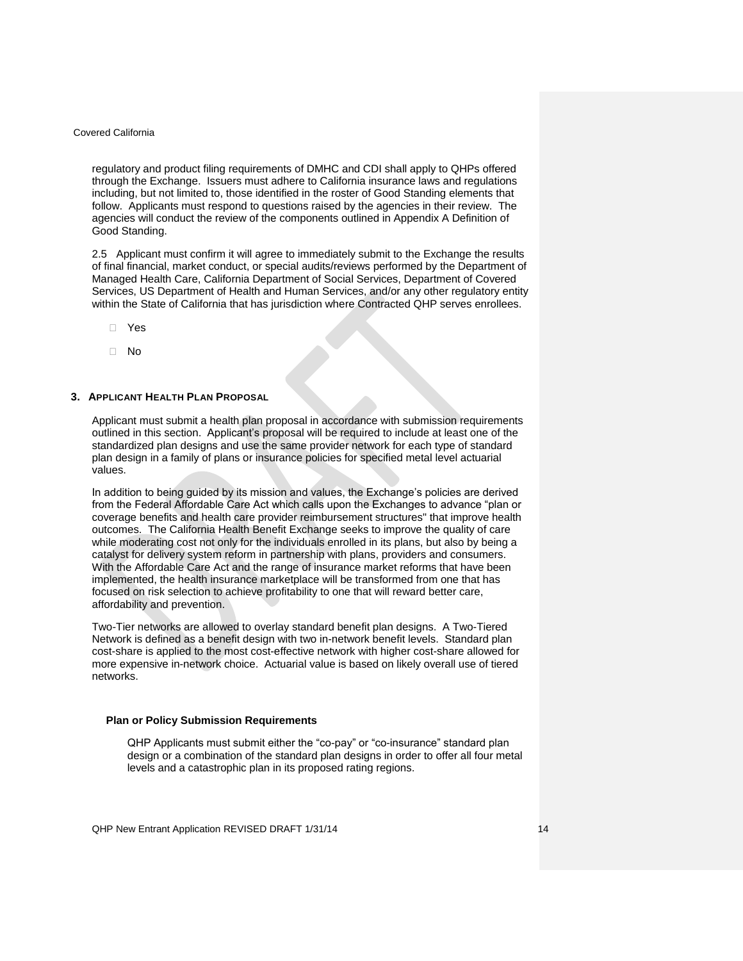regulatory and product filing requirements of DMHC and CDI shall apply to QHPs offered through the Exchange. Issuers must adhere to California insurance laws and regulations including, but not limited to, those identified in the roster of Good Standing elements that follow. Applicants must respond to questions raised by the agencies in their review. The agencies will conduct the review of the components outlined in Appendix A Definition of Good Standing.

<span id="page-13-0"></span>2.5 Applicant must confirm it will agree to immediately submit to the Exchange the results of final financial, market conduct, or special audits/reviews performed by the Department of Managed Health Care, California Department of Social Services, Department of Covered Services, US Department of Health and Human Services, and/or any other regulatory entity within the State of California that has jurisdiction where Contracted QHP serves enrollees.

- Yes
- No

## <span id="page-13-1"></span>**3. APPLICANT HEALTH PLAN PROPOSAL**

Applicant must submit a health plan proposal in accordance with submission requirements outlined in this section. Applicant's proposal will be required to include at least one of the standardized plan designs and use the same provider network for each type of standard plan design in a family of plans or insurance policies for specified metal level actuarial values.

In addition to being guided by its mission and values, the Exchange's policies are derived from the Federal Affordable Care Act which calls upon the Exchanges to advance "plan or coverage benefits and health care provider reimbursement structures" that improve health outcomes. The California Health Benefit Exchange seeks to improve the quality of care while moderating cost not only for the individuals enrolled in its plans, but also by being a catalyst for delivery system reform in partnership with plans, providers and consumers. With the Affordable Care Act and the range of insurance market reforms that have been implemented, the health insurance marketplace will be transformed from one that has focused on risk selection to achieve profitability to one that will reward better care, affordability and prevention.

Two-Tier networks are allowed to overlay standard benefit plan designs. A Two-Tiered Network is defined as a benefit design with two in-network benefit levels. Standard plan cost-share is applied to the most cost-effective network with higher cost-share allowed for more expensive in-network choice. Actuarial value is based on likely overall use of tiered networks.

#### **Plan or Policy Submission Requirements**

QHP Applicants must submit either the "co-pay" or "co-insurance" standard plan design or a combination of the standard plan designs in order to offer all four metal levels and a catastrophic plan in its proposed rating regions.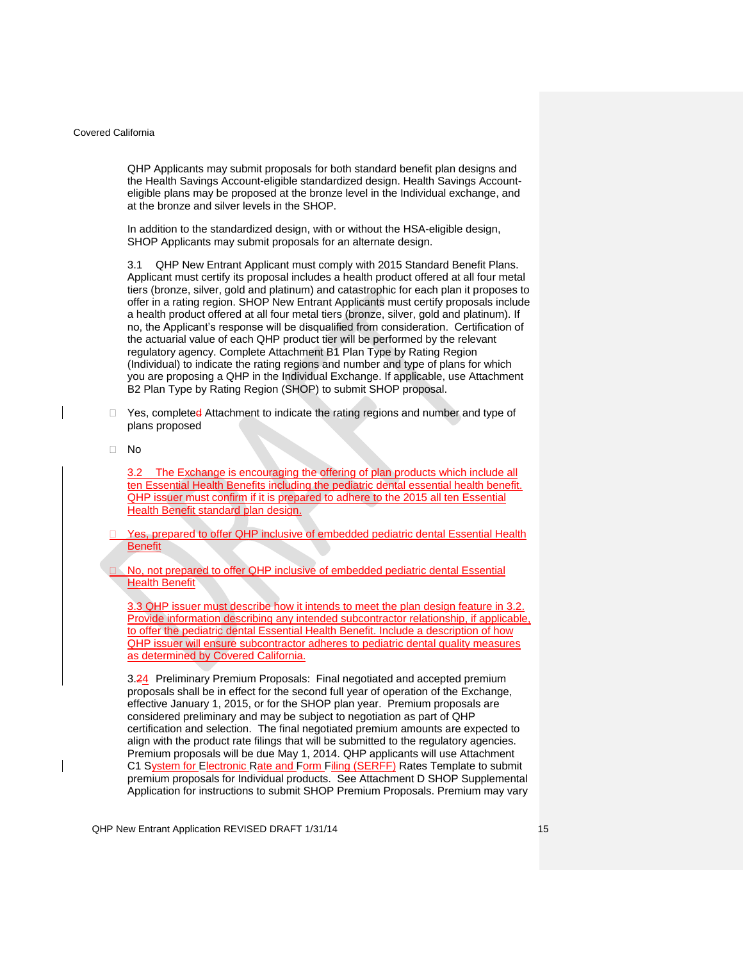QHP Applicants may submit proposals for both standard benefit plan designs and the Health Savings Account-eligible standardized design. Health Savings Accounteligible plans may be proposed at the bronze level in the Individual exchange, and at the bronze and silver levels in the SHOP.

In addition to the standardized design, with or without the HSA-eligible design, SHOP Applicants may submit proposals for an alternate design.

<span id="page-14-0"></span>3.1 QHP New Entrant Applicant must comply with 2015 Standard Benefit Plans. Applicant must certify its proposal includes a health product offered at all four metal tiers (bronze, silver, gold and platinum) and catastrophic for each plan it proposes to offer in a rating region. SHOP New Entrant Applicants must certify proposals include a health product offered at all four metal tiers (bronze, silver, gold and platinum). If no, the Applicant's response will be disqualified from consideration. Certification of the actuarial value of each QHP product tier will be performed by the relevant regulatory agency. Complete Attachment B1 Plan Type by Rating Region (Individual) to indicate the rating regions and number and type of plans for which you are proposing a QHP in the Individual Exchange. If applicable, use Attachment B2 Plan Type by Rating Region (SHOP) to submit SHOP proposal.

- $\Box$  Yes, completed Attachment to indicate the rating regions and number and type of plans proposed
- No

3.2 The Exchange is encouraging the offering of plan products which include all ten Essential Health Benefits including the pediatric dental essential health benefit. QHP issuer must confirm if it is prepared to adhere to the 2015 all ten Essential Health Benefit standard plan design.

 Yes, prepared to offer QHP inclusive of embedded pediatric dental Essential Health **Benefit** 

 No, not prepared to offer QHP inclusive of embedded pediatric dental Essential Health Benefit

3.3 QHP issuer must describe how it intends to meet the plan design feature in 3.2. Provide information describing any intended subcontractor relationship, if applicable, to offer the pediatric dental Essential Health Benefit. Include a description of how QHP issuer will ensure subcontractor adheres to pediatric dental quality measures as determined by Covered California.

3.24 Preliminary Premium Proposals: Final negotiated and accepted premium proposals shall be in effect for the second full year of operation of the Exchange, effective January 1, 2015, or for the SHOP plan year. Premium proposals are considered preliminary and may be subject to negotiation as part of QHP certification and selection. The final negotiated premium amounts are expected to align with the product rate filings that will be submitted to the regulatory agencies. Premium proposals will be due May 1, 2014. QHP applicants will use Attachment C1 System for Electronic Rate and Form Filing (SERFF) Rates Template to submit premium proposals for Individual products. See Attachment D SHOP Supplemental Application for instructions to submit SHOP Premium Proposals. Premium may vary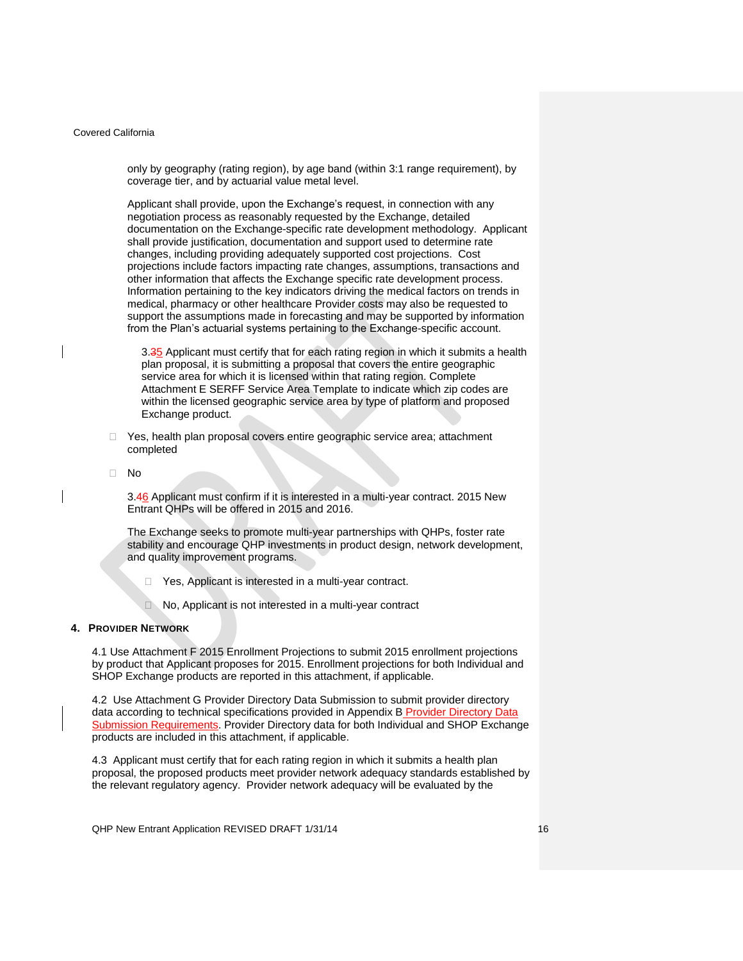only by geography (rating region), by age band (within 3:1 range requirement), by coverage tier, and by actuarial value metal level.

Applicant shall provide, upon the Exchange's request, in connection with any negotiation process as reasonably requested by the Exchange, detailed documentation on the Exchange-specific rate development methodology. Applicant shall provide justification, documentation and support used to determine rate changes, including providing adequately supported cost projections. Cost projections include factors impacting rate changes, assumptions, transactions and other information that affects the Exchange specific rate development process. Information pertaining to the key indicators driving the medical factors on trends in medical, pharmacy or other healthcare Provider costs may also be requested to support the assumptions made in forecasting and may be supported by information from the Plan's actuarial systems pertaining to the Exchange-specific account.

3.35 Applicant must certify that for each rating region in which it submits a health plan proposal, it is submitting a proposal that covers the entire geographic service area for which it is licensed within that rating region. Complete Attachment E SERFF Service Area Template to indicate which zip codes are within the licensed geographic service area by type of platform and proposed Exchange product.

- □ Yes, health plan proposal covers entire geographic service area; attachment completed
- <span id="page-15-0"></span>No

3.46 Applicant must confirm if it is interested in a multi-year contract. 2015 New Entrant QHPs will be offered in 2015 and 2016.

The Exchange seeks to promote multi-year partnerships with QHPs, foster rate stability and encourage QHP investments in product design, network development, and quality improvement programs.

- □ Yes, Applicant is interested in a multi-year contract.
- No, Applicant is not interested in a multi-year contract

### <span id="page-15-1"></span>**4. PROVIDER NETWORK**

4.1 Use Attachment F 2015 Enrollment Projections to submit 2015 enrollment projections by product that Applicant proposes for 2015. Enrollment projections for both Individual and SHOP Exchange products are reported in this attachment, if applicable.

<span id="page-15-2"></span>4.2 Use Attachment G Provider Directory Data Submission to submit provider directory data according to technical specifications provided in Appendix B Provider Directory Data Submission Requirements. Provider Directory data for both Individual and SHOP Exchange products are included in this attachment, if applicable.

4.3 Applicant must certify that for each rating region in which it submits a health plan proposal, the proposed products meet provider network adequacy standards established by the relevant regulatory agency. Provider network adequacy will be evaluated by the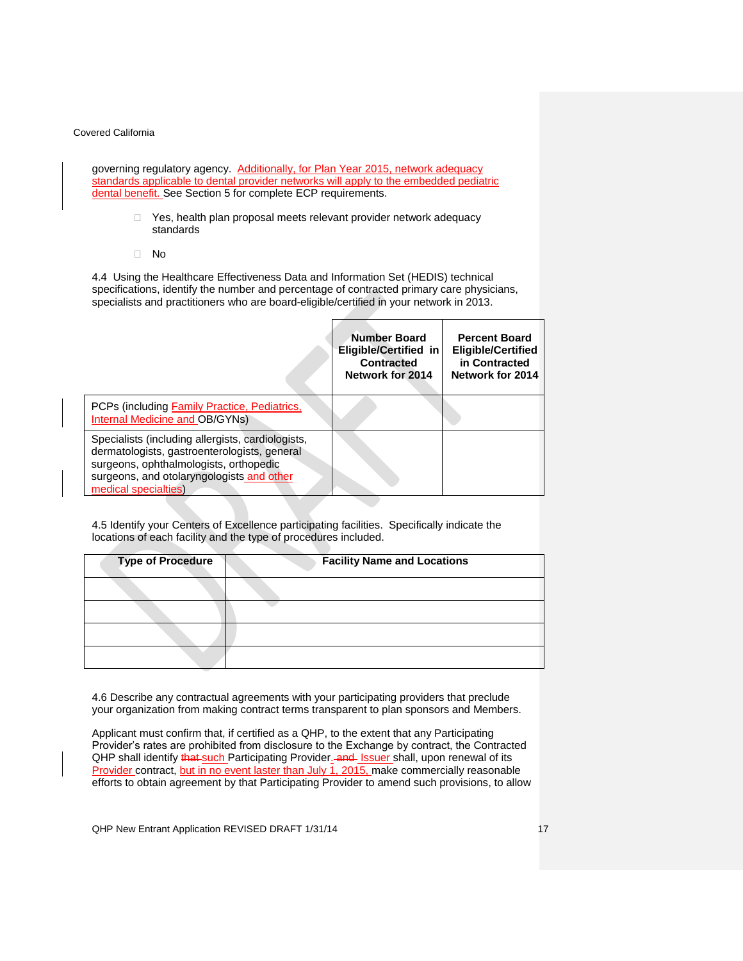governing regulatory agency. Additionally, for Plan Year 2015, network adequacy standards applicable to dental provider networks will apply to the embedded pediatric dental benefit. See Section 5 for complete ECP requirements.

- $\Box$  Yes, health plan proposal meets relevant provider network adequacy standards
- No

4.4 Using the Healthcare Effectiveness Data and Information Set (HEDIS) technical specifications, identify the number and percentage of contracted primary care physicians, specialists and practitioners who are board-eligible/certified in your network in 2013.

|                                                                                                                                                                                                                  | <b>Number Board</b><br>Eligible/Certified in<br><b>Contracted</b><br>Network for 2014 | <b>Percent Board</b><br><b>Eligible/Certified</b><br>in Contracted<br>Network for 2014 |
|------------------------------------------------------------------------------------------------------------------------------------------------------------------------------------------------------------------|---------------------------------------------------------------------------------------|----------------------------------------------------------------------------------------|
| PCPs (including Family Practice, Pediatrics,<br>Internal Medicine and OB/GYNs)                                                                                                                                   |                                                                                       |                                                                                        |
| Specialists (including allergists, cardiologists,<br>dermatologists, gastroenterologists, general<br>surgeons, ophthalmologists, orthopedic<br>surgeons, and otolaryngologists and other<br>medical specialties) |                                                                                       |                                                                                        |

4.5 Identify your Centers of Excellence participating facilities. Specifically indicate the locations of each facility and the type of procedures included.

| <b>Type of Procedure</b> | <b>Facility Name and Locations</b> |
|--------------------------|------------------------------------|
|                          |                                    |
|                          |                                    |
|                          |                                    |
|                          |                                    |

4.6 Describe any contractual agreements with your participating providers that preclude your organization from making contract terms transparent to plan sponsors and Members.

Applicant must confirm that, if certified as a QHP, to the extent that any Participating Provider's rates are prohibited from disclosure to the Exchange by contract, the Contracted QHP shall identify that such Participating Provider. and Issuer shall, upon renewal of its Provider contract, but in no event laster than July 1, 2015, make commercially reasonable efforts to obtain agreement by that Participating Provider to amend such provisions, to allow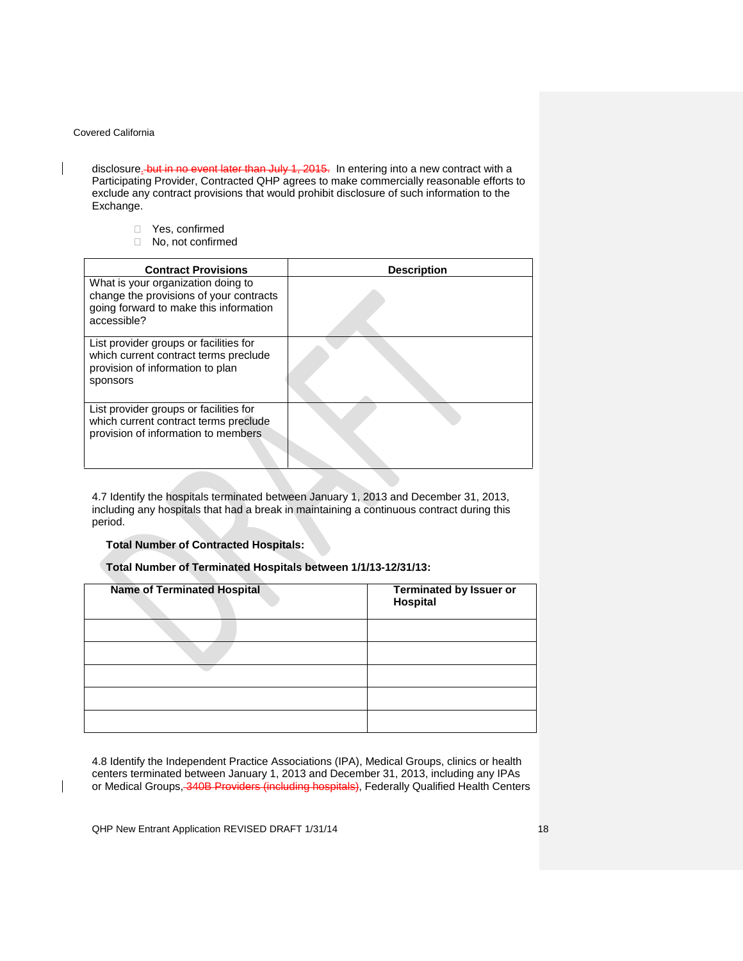$\overline{\phantom{a}}$ 

 $\overline{\phantom{a}}$ 

disclosure. but in no event later than July 1, 2015. In entering into a new contract with a Participating Provider, Contracted QHP agrees to make commercially reasonable efforts to exclude any contract provisions that would prohibit disclosure of such information to the Exchange.

- □ Yes, confirmed
- □ No, not confirmed

| <b>Contract Provisions</b>                                                                                                             | <b>Description</b> |
|----------------------------------------------------------------------------------------------------------------------------------------|--------------------|
| What is your organization doing to<br>change the provisions of your contracts<br>going forward to make this information<br>accessible? |                    |
| List provider groups or facilities for<br>which current contract terms preclude<br>provision of information to plan<br>sponsors        |                    |
| List provider groups or facilities for<br>which current contract terms preclude<br>provision of information to members                 |                    |

4.7 Identify the hospitals terminated between January 1, 2013 and December 31, 2013, including any hospitals that had a break in maintaining a continuous contract during this period.

### **Total Number of Contracted Hospitals:**

# **Total Number of Terminated Hospitals between 1/1/13-12/31/13:**

| <b>Name of Terminated Hospital</b> | Terminated by Issuer or<br>Hospital |
|------------------------------------|-------------------------------------|
|                                    |                                     |
|                                    |                                     |
|                                    |                                     |
|                                    |                                     |
|                                    |                                     |

4.8 Identify the Independent Practice Associations (IPA), Medical Groups, clinics or health centers terminated between January 1, 2013 and December 31, 2013, including any IPAs or Medical Groups, 340B Providers (including hospitals), Federally Qualified Health Centers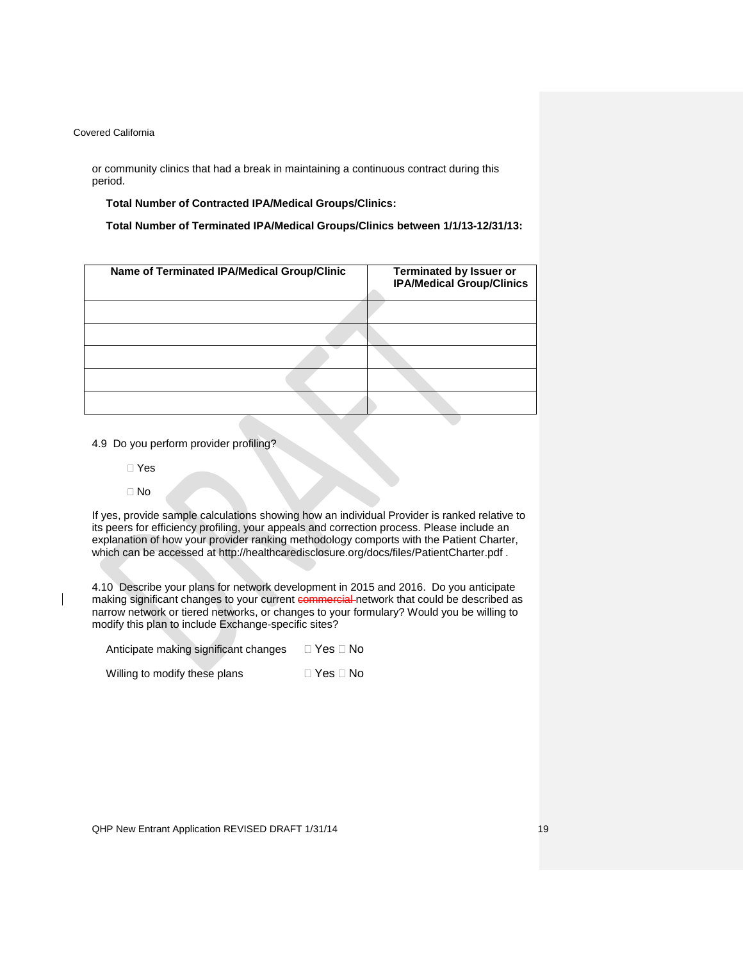or community clinics that had a break in maintaining a continuous contract during this period.

**Total Number of Contracted IPA/Medical Groups/Clinics:** 

**Total Number of Terminated IPA/Medical Groups/Clinics between 1/1/13-12/31/13:** 

| Name of Terminated IPA/Medical Group/Clinic | <b>Terminated by Issuer or</b><br><b>IPA/Medical Group/Clinics</b> |
|---------------------------------------------|--------------------------------------------------------------------|
|                                             |                                                                    |
|                                             |                                                                    |
|                                             |                                                                    |
|                                             |                                                                    |
|                                             |                                                                    |

4.9 Do you perform provider profiling?

Yes

 $\square$  No

If yes, provide sample calculations showing how an individual Provider is ranked relative to its peers for efficiency profiling, your appeals and correction process. Please include an explanation of how your provider ranking methodology comports with the Patient Charter, which can be accessed at<http://healthcaredisclosure.org/docs/files/PatientCharter.pdf> .

4.10 Describe your plans for network development in 2015 and 2016. Do you anticipate making significant changes to your current commercial network that could be described as narrow network or tiered networks, or changes to your formulary? Would you be willing to modify this plan to include Exchange-specific sites?

| Anticipate making significant changes | $\Box$ Yes $\Box$ No |
|---------------------------------------|----------------------|
| Willing to modify these plans         | $\Box$ Yes $\Box$ No |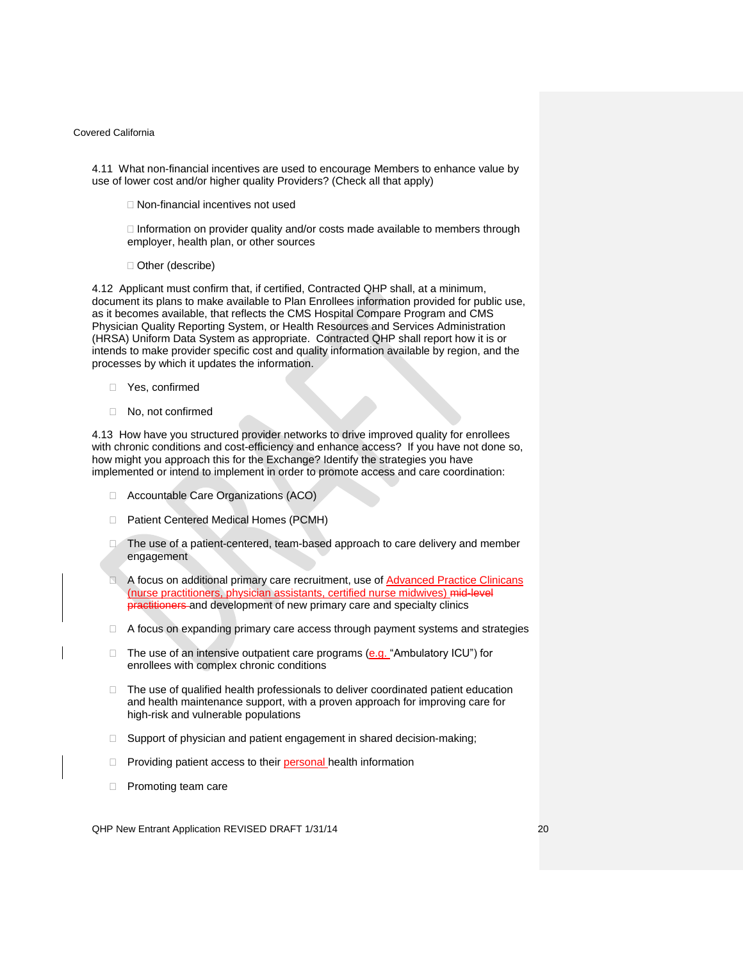4.11 What non-financial incentives are used to encourage Members to enhance value by use of lower cost and/or higher quality Providers? (Check all that apply)

Non-financial incentives not used

 $\Box$  Information on provider quality and/or costs made available to members through employer, health plan, or other sources

□ Other (describe)

4.12 Applicant must confirm that, if certified, Contracted QHP shall, at a minimum, document its plans to make available to Plan Enrollees information provided for public use, as it becomes available, that reflects the CMS Hospital Compare Program and CMS Physician Quality Reporting System, or Health Resources and Services Administration (HRSA) Uniform Data System as appropriate. Contracted QHP shall report how it is or intends to make provider specific cost and quality information available by region, and the processes by which it updates the information.

- Yes, confirmed
- □ No, not confirmed

4.13 How have you structured provider networks to drive improved quality for enrollees with chronic conditions and cost-efficiency and enhance access? If you have not done so, how might you approach this for the Exchange? Identify the strategies you have implemented or intend to implement in order to promote access and care coordination:

- □ Accountable Care Organizations (ACO)
- □ Patient Centered Medical Homes (PCMH)
- The use of a patient-centered, team-based approach to care delivery and member engagement
- A focus on additional primary care recruitment, use of **Advanced Practice Clinicans** (nurse practitioners, physician assistants, certified nurse midwives) mid-level practitioners and development of new primary care and specialty clinics
- $\Box$  A focus on expanding primary care access through payment systems and strategies
- $\Box$  The use of an intensive outpatient care programs (e.g. "Ambulatory ICU") for enrollees with complex chronic conditions
- $\Box$  The use of qualified health professionals to deliver coordinated patient education and health maintenance support, with a proven approach for improving care for high-risk and vulnerable populations
- □ Support of physician and patient engagement in shared decision-making;
- $\Box$  Providing patient access to their personal health information
- **Promoting team care**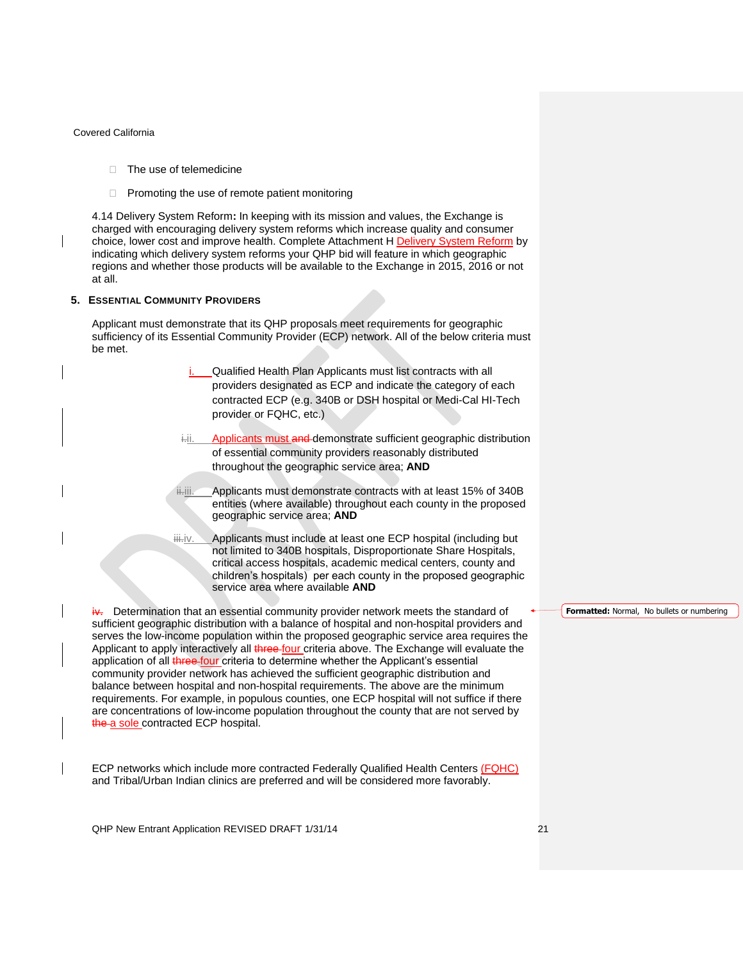- $\Box$  The use of telemedicine
- $\Box$  Promoting the use of remote patient monitoring

<span id="page-20-0"></span>4.14 Delivery System Reform**:** In keeping with its mission and values, the Exchange is charged with encouraging delivery system reforms which increase quality and consumer choice, lower cost and improve health. Complete Attachment H Delivery System Reform by indicating which delivery system reforms your QHP bid will feature in which geographic regions and whether those products will be available to the Exchange in 2015, 2016 or not at all.

### <span id="page-20-1"></span>**5. ESSENTIAL COMMUNITY PROVIDERS**

Applicant must demonstrate that its QHP proposals meet requirements for geographic sufficiency of its Essential Community Provider (ECP) network. All of the below criteria must be met.

- Qualified Health Plan Applicants must list contracts with all providers designated as ECP and indicate the category of each contracted ECP (e.g. 340B or DSH hospital or Medi-Cal HI-Tech provider or FQHC, etc.)
- Applicants must and demonstrate sufficient geographic distribution of essential community providers reasonably distributed throughout the geographic service area; **AND**
- iiii. Applicants must demonstrate contracts with at least 15% of 340B entities (where available) throughout each county in the proposed geographic service area; **AND**
- iii.iv. Applicants must include at least one ECP hospital (including but not limited to 340B hospitals, Disproportionate Share Hospitals, critical access hospitals, academic medical centers, county and children's hospitals) per each county in the proposed geographic service area where available **AND**

 $iv$ . Determination that an essential community provider network meets the standard of sufficient geographic distribution with a balance of hospital and non-hospital providers and serves the low-income population within the proposed geographic service area requires the Applicant to apply interactively all three four criteria above. The Exchange will evaluate the application of all *three four* criteria to determine whether the Applicant's essential community provider network has achieved the sufficient geographic distribution and balance between hospital and non-hospital requirements. The above are the minimum requirements. For example, in populous counties, one ECP hospital will not suffice if there are concentrations of low-income population throughout the county that are not served by the a sole contracted ECP hospital.

ECP networks which include more contracted Federally Qualified Health Centers (FQHC) and Tribal/Urban Indian clinics are preferred and will be considered more favorably.

**Formatted:** Normal, No bullets or numbering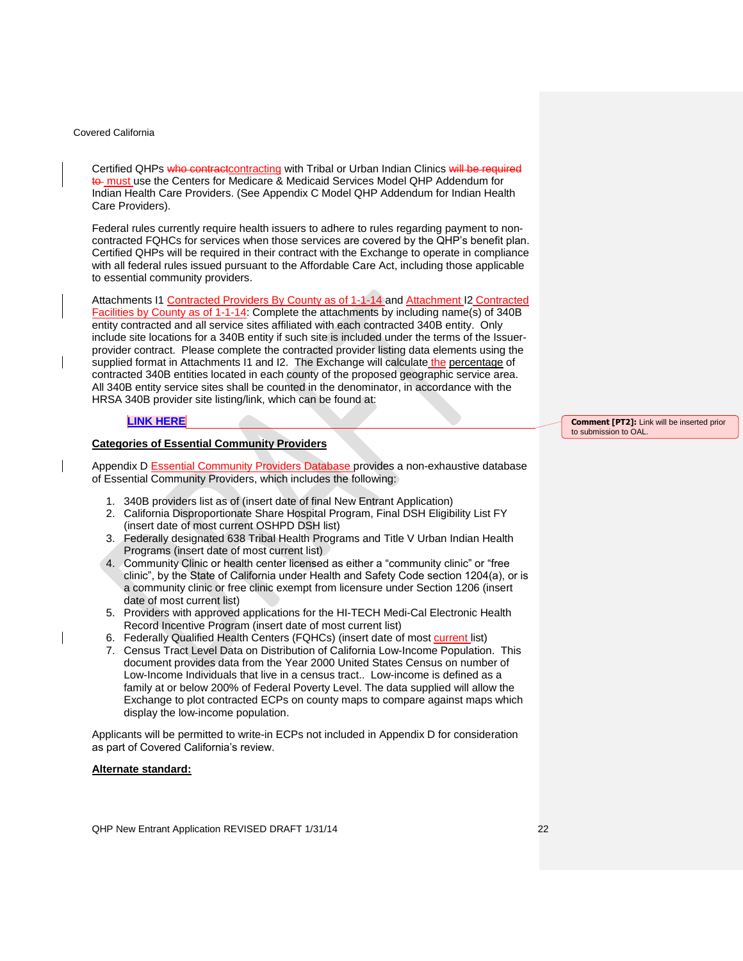Certified QHPs who contractcontracting with Tribal or Urban Indian Clinics will be required to must use the Centers for Medicare & Medicaid Services Model QHP Addendum for Indian Health Care Providers. (See Appendix C Model QHP Addendum for Indian Health Care Providers).

Federal rules currently require health issuers to adhere to rules regarding payment to noncontracted FQHCs for services when those services are covered by the QHP's benefit plan. Certified QHPs will be required in their contract with the Exchange to operate in compliance with all federal rules issued pursuant to the Affordable Care Act, including those applicable to essential community providers.

Attachments I1 Contracted Providers By County as of 1-1-14 and Attachment I2 Contracted Facilities by County as of 1-1-14: Complete the attachments by including name(s) of 340B entity contracted and all service sites affiliated with each contracted 340B entity. Only include site locations for a 340B entity if such site is included under the terms of the Issuerprovider contract. Please complete the contracted provider listing data elements using the supplied format in Attachments I1 and I2. The Exchange will calculate the percentage of contracted 340B entities located in each county of the proposed geographic service area. All 340B entity service sites shall be counted in the denominator, in accordance with the HRSA 340B provider site listing/link, which can be found at:

## **[LINK](http://www.healthexchange.ca.gov/Solicitations/Documents/Essential%20Community%20Providers.pdf) HERE**

## **Categories of Essential Community Providers**

Appendix D Essential Community Providers Database provides a non-exhaustive database of Essential Community Providers, which includes the following:

- 1. 340B providers list as of (insert date of final New Entrant Application)
- 2. California Disproportionate Share Hospital Program, Final DSH Eligibility List FY (insert date of most current OSHPD DSH list)
- 3. Federally designated 638 Tribal Health Programs and Title V Urban Indian Health Programs (insert date of most current list)
- 4. Community Clinic or health center licensed as either a "community clinic" or "free clinic", by the State of California under Health and Safety Code section 1204(a), or is a community clinic or free clinic exempt from licensure under Section 1206 (insert date of most current list)
- 5. Providers with approved applications for the HI-TECH Medi-Cal Electronic Health Record Incentive Program (insert date of most current list)
- 6. Federally Qualified Health Centers (FQHCs) (insert date of most current list)
- 7. Census Tract Level Data on Distribution of California Low-Income Population. This document provides data from the Year 2000 United States Census on number of Low-Income Individuals that live in a census tract.. Low-income is defined as a family at or below 200% of Federal Poverty Level. The data supplied will allow the Exchange to plot contracted ECPs on county maps to compare against maps which display the low-income population.

Applicants will be permitted to write-in ECPs not included in Appendix D for consideration as part of Covered California's review.

#### **Alternate standard:**

**Comment [PT2]:** Link will be inserted prior to submission to OAL.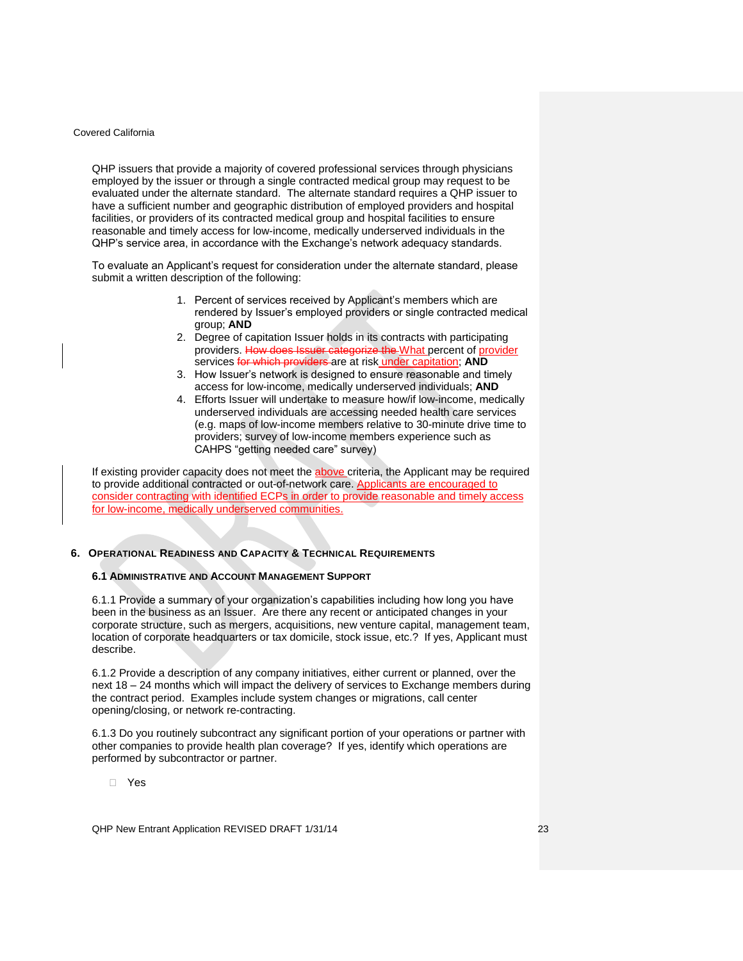QHP issuers that provide a majority of covered professional services through physicians employed by the issuer or through a single contracted medical group may request to be evaluated under the alternate standard. The alternate standard requires a QHP issuer to have a sufficient number and geographic distribution of employed providers and hospital facilities, or providers of its contracted medical group and hospital facilities to ensure reasonable and timely access for low-income, medically underserved individuals in the QHP's service area, in accordance with the Exchange's network adequacy standards.

To evaluate an Applicant's request for consideration under the alternate standard, please submit a written description of the following:

- 1. Percent of services received by Applicant's members which are rendered by Issuer's employed providers or single contracted medical group; **AND**
- 2. Degree of capitation Issuer holds in its contracts with participating providers. How does Issuer categorize the What percent of provider services for which providers are at risk under capitation; **AND**
- 3. How Issuer's network is designed to ensure reasonable and timely access for low-income, medically underserved individuals; **AND**
- 4. Efforts Issuer will undertake to measure how/if low-income, medically underserved individuals are accessing needed health care services (e.g. maps of low-income members relative to 30-minute drive time to providers; survey of low-income members experience such as CAHPS "getting needed care" survey)

If existing provider capacity does not meet the above criteria, the Applicant may be required to provide additional contracted or out-of-network care. Applicants are encouraged to consider contracting with identified ECPs in order to provide reasonable and timely access for low-income, medically underserved communities.

## <span id="page-22-1"></span><span id="page-22-0"></span>**6. OPERATIONAL READINESS AND CAPACITY & TECHNICAL REQUIREMENTS**

### **6.1 ADMINISTRATIVE AND ACCOUNT MANAGEMENT SUPPORT**

6.1.1 Provide a summary of your organization's capabilities including how long you have been in the business as an Issuer. Are there any recent or anticipated changes in your corporate structure, such as mergers, acquisitions, new venture capital, management team, location of corporate headquarters or tax domicile, stock issue, etc.? If yes, Applicant must describe.

6.1.2 Provide a description of any company initiatives, either current or planned, over the next 18 – 24 months which will impact the delivery of services to Exchange members during the contract period. Examples include system changes or migrations, call center opening/closing, or network re-contracting.

6.1.3 Do you routinely subcontract any significant portion of your operations or partner with other companies to provide health plan coverage? If yes, identify which operations are performed by subcontractor or partner.

Yes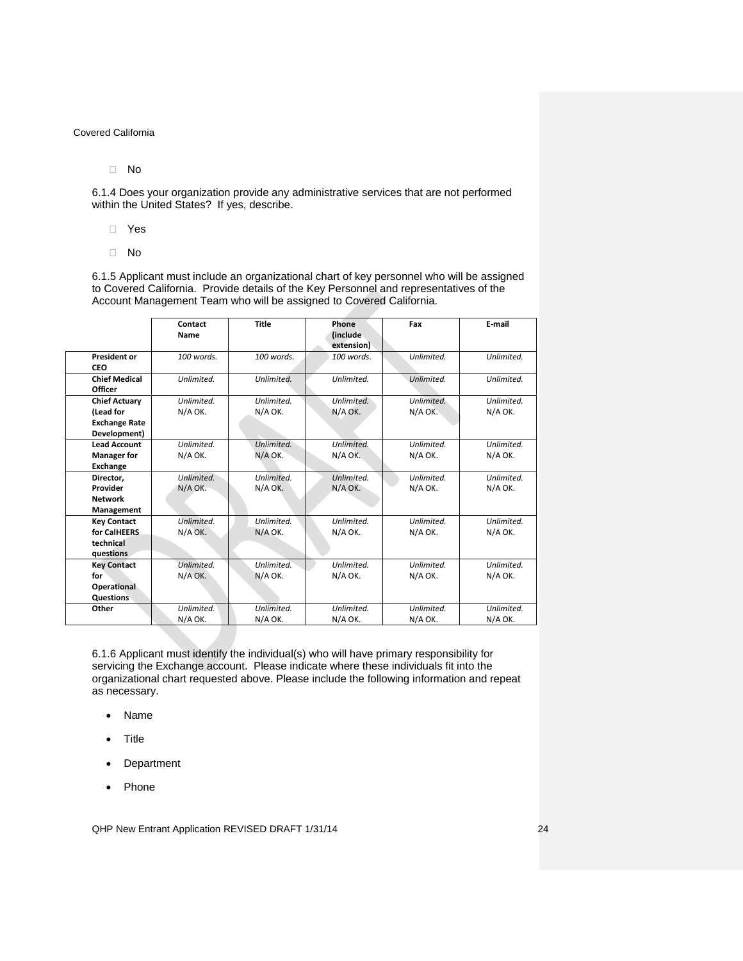No

6.1.4 Does your organization provide any administrative services that are not performed within the United States? If yes, describe.

Yes

No

6.1.5 Applicant must include an organizational chart of key personnel who will be assigned to Covered California. Provide details of the Key Personnel and representatives of the Account Management Team who will be assigned to Covered California.

|                      | Contact<br>Name | <b>Title</b> | Phone<br><i>(include</i><br>extension) | Fax        | E-mail     |
|----------------------|-----------------|--------------|----------------------------------------|------------|------------|
| <b>President or</b>  | 100 words.      | $100$ words. | 100 words.                             | Unlimited. | Unlimited. |
| CEO                  |                 |              |                                        |            |            |
| <b>Chief Medical</b> | Unlimited.      | Unlimited.   | Unlimited.                             | Unlimited. | Unlimited. |
| Officer              |                 |              |                                        |            |            |
| <b>Chief Actuary</b> | Unlimited.      | Unlimited.   | Unlimited.                             | Unlimited. | Unlimited. |
| (Lead for            | N/A OK.         | N/A OK.      | N/A OK.                                | N/A OK.    | N/A OK.    |
| <b>Exchange Rate</b> |                 |              |                                        |            |            |
| Development)         |                 |              |                                        |            |            |
| <b>Lead Account</b>  | Unlimited.      | Unlimited.   | Unlimited.                             | Unlimited. | Unlimited. |
| <b>Manager for</b>   | N/A OK.         | N/A OK.      | N/A OK.                                | N/A OK.    | N/A OK.    |
| Exchange             |                 |              |                                        |            |            |
| Director,            | Unlimited.      | Unlimited.   | Unlimited.                             | Unlimited. | Unlimited. |
| Provider             | N/A OK.         | N/A OK.      | N/A OK.                                | N/A OK.    | N/A OK.    |
| <b>Network</b>       |                 |              |                                        |            |            |
| Management           |                 |              |                                        |            |            |
| <b>Key Contact</b>   | Unlimited.      | Unlimited.   | Unlimited.                             | Unlimited. | Unlimited. |
| for CalHEERS         | N/A OK.         | N/A OK.      | N/A OK.                                | N/A OK.    | N/A OK.    |
| technical            |                 |              |                                        |            |            |
| questions            |                 |              |                                        |            |            |
| <b>Key Contact</b>   | Unlimited.      | Unlimited.   | Unlimited.                             | Unlimited. | Unlimited. |
| for                  | N/A OK.         | N/A OK.      | N/A OK.                                | N/A OK.    | N/A OK.    |
| Operational          |                 |              |                                        |            |            |
| Questions            |                 |              |                                        |            |            |
| Other                | Unlimited.      | Unlimited.   | Unlimited.                             | Unlimited. | Unlimited. |
|                      | N/A OK.         | N/A OK.      | N/A OK.                                | N/A OK.    | N/A OK.    |

6.1.6 Applicant must identify the individual(s) who will have primary responsibility for servicing the Exchange account. Please indicate where these individuals fit into the organizational chart requested above. Please include the following information and repeat as necessary.

- Name
- Title
- Department
- Phone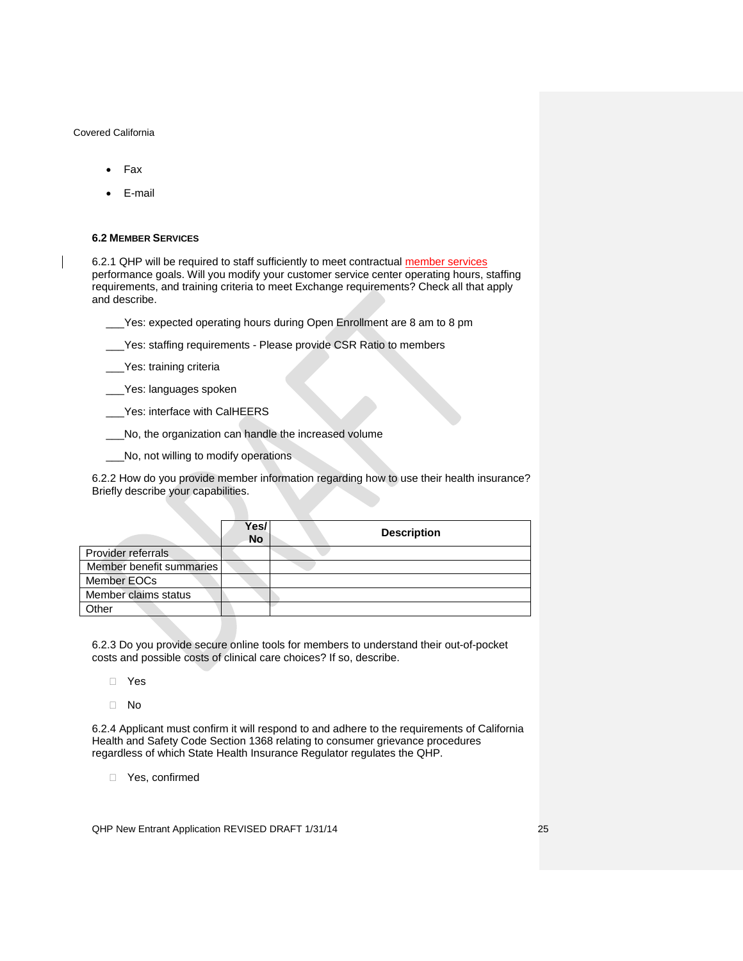- Fax
- E-mail

#### <span id="page-24-0"></span>**6.2 MEMBER SERVICES**

6.2.1 QHP will be required to staff sufficiently to meet contractual member services performance goals. Will you modify your customer service center operating hours, staffing requirements, and training criteria to meet Exchange requirements? Check all that apply and describe.

\_\_\_Yes: expected operating hours during Open Enrollment are 8 am to 8 pm

\_\_\_Yes: staffing requirements - Please provide CSR Ratio to members

\_\_\_Yes: training criteria

\_\_\_Yes: languages spoken

\_\_\_Yes: interface with CalHEERS

\_\_\_No, the organization can handle the increased volume

\_\_\_No, not willing to modify operations

6.2.2 How do you provide member information regarding how to use their health insurance? Briefly describe your capabilities.

|                          | Yes/<br><b>No</b> | <b>Description</b> |
|--------------------------|-------------------|--------------------|
| Provider referrals       |                   |                    |
| Member benefit summaries |                   |                    |
| Member EOCs              |                   |                    |
| Member claims status     |                   |                    |
| Other                    |                   |                    |

6.2.3 Do you provide secure online tools for members to understand their out-of-pocket costs and possible costs of clinical care choices? If so, describe.

- Yes
- No

6.2.4 Applicant must confirm it will respond to and adhere to the requirements of California Health and Safety Code Section 1368 relating to consumer grievance procedures regardless of which State Health Insurance Regulator regulates the QHP.

□ Yes, confirmed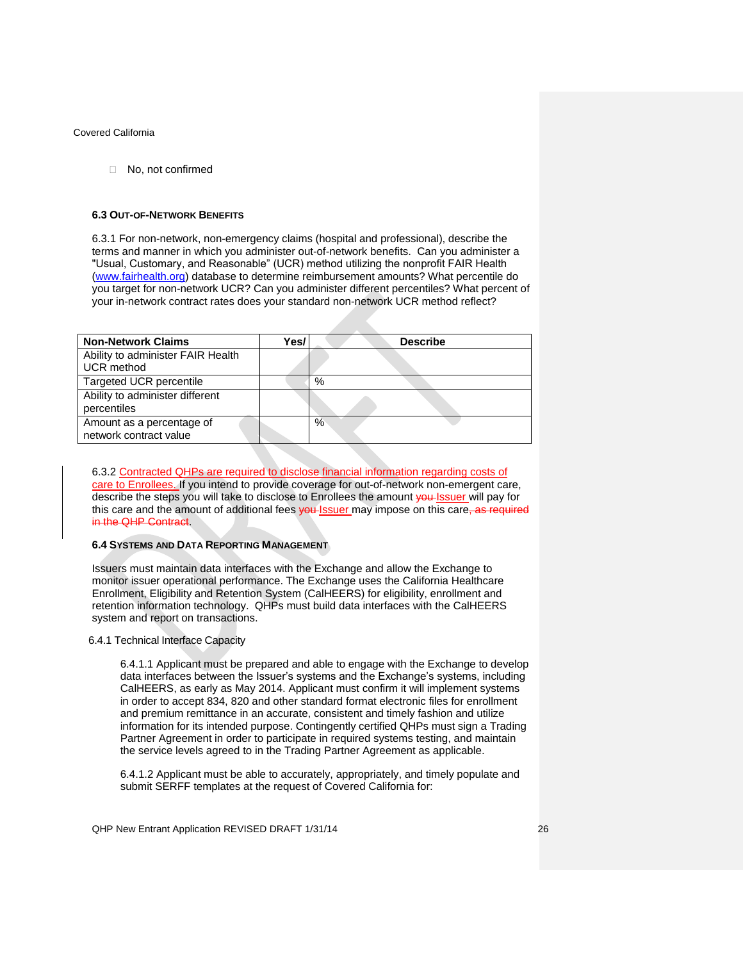□ No, not confirmed

#### <span id="page-25-0"></span>**6.3 OUT-OF-NETWORK BENEFITS**

6.3.1 For non-network, non-emergency claims (hospital and professional), describe the terms and manner in which you administer out-of-network benefits. Can you administer a "Usual, Customary, and Reasonable" (UCR) method utilizing the nonprofit FAIR Health [\(www.fairhealth.org\)](http://www.fairhealth.org/) database to determine reimbursement amounts? What percentile do you target for non-network UCR? Can you administer different percentiles? What percent of your in-network contract rates does your standard non-network UCR method reflect?

| <b>Non-Network Claims</b>                              | Yes/. | <b>Describe</b> |
|--------------------------------------------------------|-------|-----------------|
| Ability to administer FAIR Health<br><b>UCR</b> method |       |                 |
| Targeted UCR percentile                                |       | %               |
| Ability to administer different<br>percentiles         |       |                 |
| Amount as a percentage of<br>network contract value    |       | %               |

6.3.2 Contracted QHPs are required to disclose financial information regarding costs of care to Enrollees. If you intend to provide coverage for out-of-network non-emergent care, describe the steps you will take to disclose to Enrollees the amount vou-Issuer will pay for this care and the amount of additional fees you Issuer may impose on this care, as required in the QHP Contract.

### <span id="page-25-1"></span>**6.4 SYSTEMS AND DATA REPORTING MANAGEMENT**

Issuers must maintain data interfaces with the Exchange and allow the Exchange to monitor issuer operational performance. The Exchange uses the California Healthcare Enrollment, Eligibility and Retention System (CalHEERS) for eligibility, enrollment and retention information technology. QHPs must build data interfaces with the CalHEERS system and report on transactions.

### <span id="page-25-2"></span>6.4.1 Technical Interface Capacity

6.4.1.1 Applicant must be prepared and able to engage with the Exchange to develop data interfaces between the Issuer's systems and the Exchange's systems, including CalHEERS, as early as May 2014. Applicant must confirm it will implement systems in order to accept 834, 820 and other standard format electronic files for enrollment and premium remittance in an accurate, consistent and timely fashion and utilize information for its intended purpose. Contingently certified QHPs must sign a Trading Partner Agreement in order to participate in required systems testing, and maintain the service levels agreed to in the Trading Partner Agreement as applicable.

6.4.1.2 Applicant must be able to accurately, appropriately, and timely populate and submit SERFF templates at the request of Covered California for: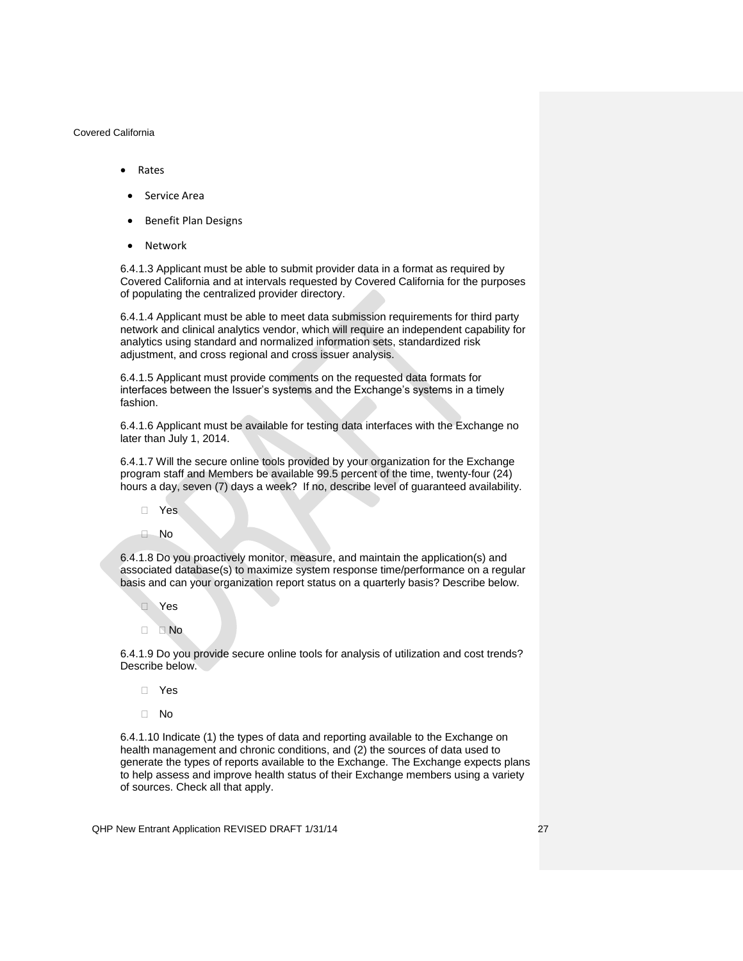- Rates
- Service Area
- Benefit Plan Designs
- Network

6.4.1.3 Applicant must be able to submit provider data in a format as required by Covered California and at intervals requested by Covered California for the purposes of populating the centralized provider directory.

6.4.1.4 Applicant must be able to meet data submission requirements for third party network and clinical analytics vendor, which will require an independent capability for analytics using standard and normalized information sets, standardized risk adjustment, and cross regional and cross issuer analysis.

6.4.1.5 Applicant must provide comments on the requested data formats for interfaces between the Issuer's systems and the Exchange's systems in a timely fashion.

6.4.1.6 Applicant must be available for testing data interfaces with the Exchange no later than July 1, 2014.

6.4.1.7 Will the secure online tools provided by your organization for the Exchange program staff and Members be available 99.5 percent of the time, twenty-four (24) hours a day, seven (7) days a week? If no, describe level of guaranteed availability.

Yes

No

6.4.1.8 Do you proactively monitor, measure, and maintain the application(s) and associated database(s) to maximize system response time/performance on a regular basis and can your organization report status on a quarterly basis? Describe below.

- Yes
- D<sub>No</sub>

6.4.1.9 Do you provide secure online tools for analysis of utilization and cost trends? Describe below.

- Yes
- $\Box$  No

6.4.1.10 Indicate (1) the types of data and reporting available to the Exchange on health management and chronic conditions, and (2) the sources of data used to generate the types of reports available to the Exchange. The Exchange expects plans to help assess and improve health status of their Exchange members using a variety of sources. Check all that apply.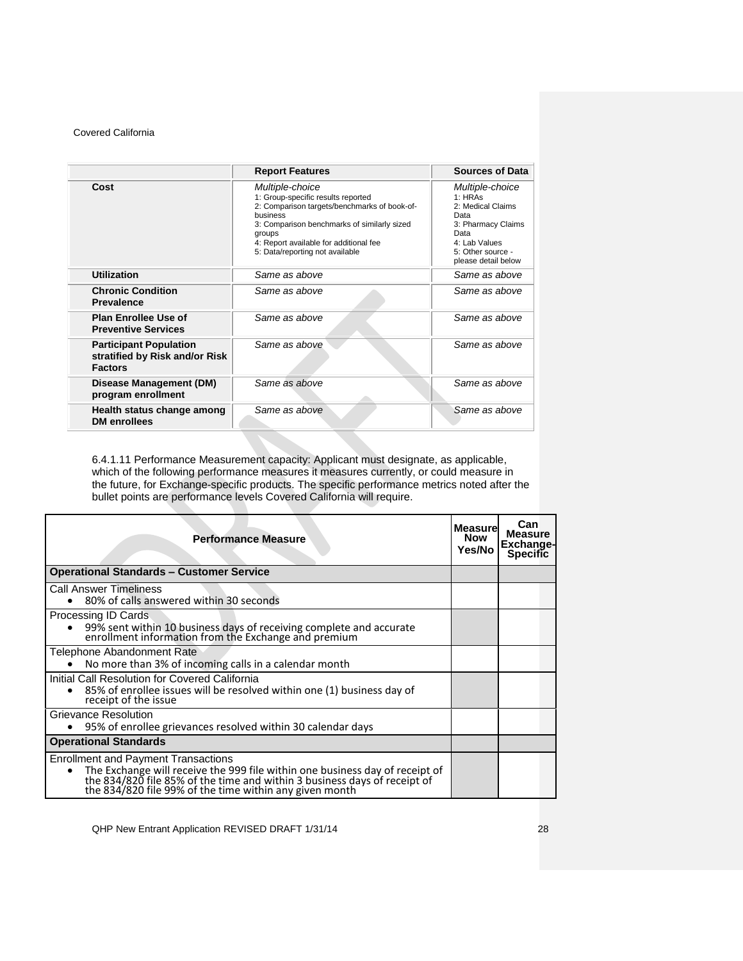|                                                                                   | <b>Report Features</b>                                                                                                                                                                                                                                  | <b>Sources of Data</b>                                                                                                                            |
|-----------------------------------------------------------------------------------|---------------------------------------------------------------------------------------------------------------------------------------------------------------------------------------------------------------------------------------------------------|---------------------------------------------------------------------------------------------------------------------------------------------------|
| Cost                                                                              | Multiple-choice<br>1: Group-specific results reported<br>2: Comparison targets/benchmarks of book-of-<br>business<br>3: Comparison benchmarks of similarly sized<br>groups<br>4: Report available for additional fee<br>5: Data/reporting not available | Multiple-choice<br>1:HRAs<br>2: Medical Claims<br>Data<br>3: Pharmacy Claims<br>Data<br>4: Lab Values<br>5: Other source -<br>please detail below |
| <b>Utilization</b>                                                                | Same as above                                                                                                                                                                                                                                           | Same as above                                                                                                                                     |
| <b>Chronic Condition</b><br><b>Prevalence</b>                                     | Same as above                                                                                                                                                                                                                                           | Same as above                                                                                                                                     |
| <b>Plan Enrollee Use of</b><br><b>Preventive Services</b>                         | Same as above                                                                                                                                                                                                                                           | Same as above                                                                                                                                     |
| <b>Participant Population</b><br>stratified by Risk and/or Risk<br><b>Factors</b> | Same as above                                                                                                                                                                                                                                           | Same as above                                                                                                                                     |
| Disease Management (DM)<br>program enrollment                                     | Same as above                                                                                                                                                                                                                                           | Same as above                                                                                                                                     |
| Health status change among<br><b>DM</b> enrollees                                 | Same as above                                                                                                                                                                                                                                           | Same as above                                                                                                                                     |

6.4.1.11 Performance Measurement capacity: Applicant must designate, as applicable, which of the following performance measures it measures currently, or could measure in the future, for Exchange-specific products. The specific performance metrics noted after the bullet points are performance levels Covered California will require.

| <b>Performance Measure</b>                                                                                                                                                                                                                                                      | <b>Measurel</b><br><b>Now</b><br>Yes/No | Can<br><b>Measure</b><br><b>Exchange-</b><br><b>Specific</b> |
|---------------------------------------------------------------------------------------------------------------------------------------------------------------------------------------------------------------------------------------------------------------------------------|-----------------------------------------|--------------------------------------------------------------|
| <b>Operational Standards - Customer Service</b>                                                                                                                                                                                                                                 |                                         |                                                              |
| Call Answer Timeliness<br>80% of calls answered within 30 seconds                                                                                                                                                                                                               |                                         |                                                              |
| Processing ID Cards<br>99% sent within 10 business days of receiving complete and accurate<br>enrollment information from the Exchange and premium                                                                                                                              |                                         |                                                              |
| Telephone Abandonment Rate<br>No more than 3% of incoming calls in a calendar month                                                                                                                                                                                             |                                         |                                                              |
| Initial Call Resolution for Covered California<br>85% of enrollee issues will be resolved within one (1) business day of<br>receipt of the issue                                                                                                                                |                                         |                                                              |
| Grievance Resolution<br>95% of enrollee grievances resolved within 30 calendar days                                                                                                                                                                                             |                                         |                                                              |
| <b>Operational Standards</b>                                                                                                                                                                                                                                                    |                                         |                                                              |
| <b>Enrollment and Payment Transactions</b><br>The Exchange will receive the 999 file within one business day of receipt of<br>$\bullet$<br>the 834/820 file 85% of the time and within 3 business days of receipt of<br>the 834/820 file 99% of the time within any given month |                                         |                                                              |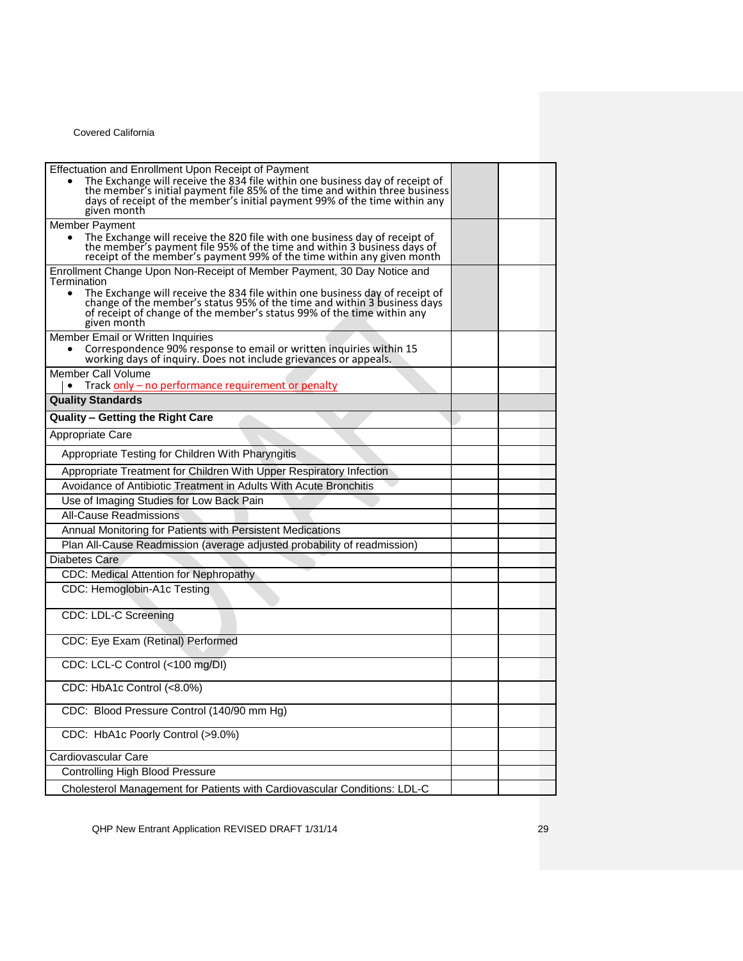| Effectuation and Enrollment Upon Receipt of Payment<br>The Exchange will receive the 834 file within one business day of receipt of<br>the member's initial payment file 85% of the time and within three business<br>days of receipt of the member's initial payment 99% of the time within any<br>given month |  |
|-----------------------------------------------------------------------------------------------------------------------------------------------------------------------------------------------------------------------------------------------------------------------------------------------------------------|--|
| <b>Member Payment</b>                                                                                                                                                                                                                                                                                           |  |
| The Exchange will receive the 820 file with one business day of receipt of<br>the member's payment file 95% of the time and within 3 business days of<br>receipt of the member's payment 99% of the time within any given month                                                                                 |  |
| Enrollment Change Upon Non-Receipt of Member Payment, 30 Day Notice and<br>Termination                                                                                                                                                                                                                          |  |
| The Exchange will receive the 834 file within one business day of receipt of<br>$\bullet$<br>change of the member's status 95% of the time and within 3 business days<br>of receipt of change of the member's status 99% of the time within any<br>given month                                                  |  |
| Member Email or Written Inquiries                                                                                                                                                                                                                                                                               |  |
| Correspondence 90% response to email or written inquiries within 15 working days of inquiry. Does not include grievances or appeals.                                                                                                                                                                            |  |
| Member Call Volume<br>Track only – no performance requirement or penalty<br>$\bullet$                                                                                                                                                                                                                           |  |
| <b>Quality Standards</b>                                                                                                                                                                                                                                                                                        |  |
| Quality - Getting the Right Care                                                                                                                                                                                                                                                                                |  |
| Appropriate Care                                                                                                                                                                                                                                                                                                |  |
| Appropriate Testing for Children With Pharyngitis                                                                                                                                                                                                                                                               |  |
| Appropriate Treatment for Children With Upper Respiratory Infection                                                                                                                                                                                                                                             |  |
| Avoidance of Antibiotic Treatment in Adults With Acute Bronchitis                                                                                                                                                                                                                                               |  |
| Use of Imaging Studies for Low Back Pain                                                                                                                                                                                                                                                                        |  |
| All-Cause Readmissions                                                                                                                                                                                                                                                                                          |  |
| Annual Monitoring for Patients with Persistent Medications                                                                                                                                                                                                                                                      |  |
| Plan All-Cause Readmission (average adjusted probability of readmission)                                                                                                                                                                                                                                        |  |
| Diabetes Care                                                                                                                                                                                                                                                                                                   |  |
| CDC: Medical Attention for Nephropathy                                                                                                                                                                                                                                                                          |  |
| CDC: Hemoglobin-A1c Testing                                                                                                                                                                                                                                                                                     |  |
| CDC: LDL-C Screening                                                                                                                                                                                                                                                                                            |  |
| CDC: Eye Exam (Retinal) Performed                                                                                                                                                                                                                                                                               |  |
| CDC: LCL-C Control (<100 mg/DI)                                                                                                                                                                                                                                                                                 |  |
| CDC: HbA1c Control (<8.0%)                                                                                                                                                                                                                                                                                      |  |
| CDC: Blood Pressure Control (140/90 mm Hg)                                                                                                                                                                                                                                                                      |  |
| CDC: HbA1c Poorly Control (>9.0%)                                                                                                                                                                                                                                                                               |  |
| Cardiovascular Care                                                                                                                                                                                                                                                                                             |  |
| <b>Controlling High Blood Pressure</b>                                                                                                                                                                                                                                                                          |  |
| Cholesterol Management for Patients with Cardiovascular Conditions: LDL-C                                                                                                                                                                                                                                       |  |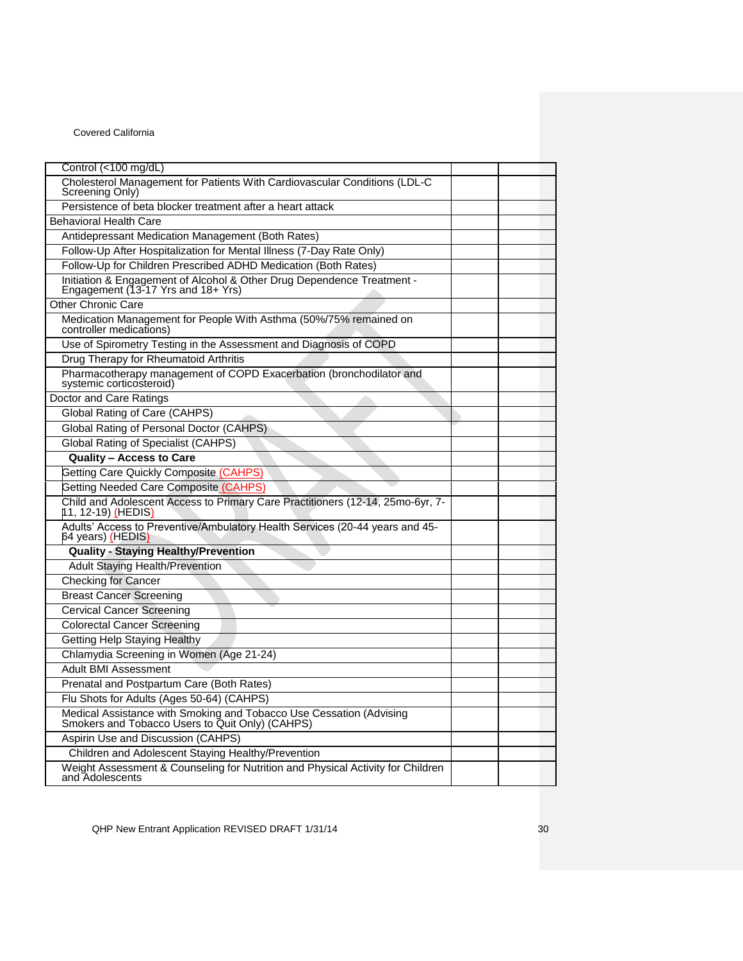| Control (<100 mg/dL)                                                                                                   |  |
|------------------------------------------------------------------------------------------------------------------------|--|
| Cholesterol Management for Patients With Cardiovascular Conditions (LDL-C<br>Screening Only)                           |  |
| Persistence of beta blocker treatment after a heart attack                                                             |  |
| <b>Behavioral Health Care</b>                                                                                          |  |
| Antidepressant Medication Management (Both Rates)                                                                      |  |
| Follow-Up After Hospitalization for Mental Illness (7-Day Rate Only)                                                   |  |
| Follow-Up for Children Prescribed ADHD Medication (Both Rates)                                                         |  |
| Initiation & Engagement of Alcohol & Other Drug Dependence Treatment -<br>Engagement (13-17 Yrs and 18+ Yrs)           |  |
| <b>Other Chronic Care</b>                                                                                              |  |
| Medication Management for People With Asthma (50%/75% remained on<br>controller medications)                           |  |
| Use of Spirometry Testing in the Assessment and Diagnosis of COPD                                                      |  |
| Drug Therapy for Rheumatoid Arthritis                                                                                  |  |
| Pharmacotherapy management of COPD Exacerbation (bronchodilator and systemic corticosteroid)                           |  |
| Doctor and Care Ratings                                                                                                |  |
| Global Rating of Care (CAHPS)                                                                                          |  |
| Global Rating of Personal Doctor (CAHPS)                                                                               |  |
| <b>Global Rating of Specialist (CAHPS)</b>                                                                             |  |
| <b>Quality - Access to Care</b>                                                                                        |  |
| Getting Care Quickly Composite (CAHPS)                                                                                 |  |
| Getting Needed Care Composite (CAHPS)                                                                                  |  |
| Child and Adolescent Access to Primary Care Practitioners (12-14, 25mo-6yr, 7-<br>11, 12-19) <u>(</u> HEDIS)           |  |
| Adults' Access to Preventive/Ambulatory Health Services (20-44 years and 45-<br>64 years) (HEDIS)                      |  |
| <b>Quality - Staying Healthy/Prevention</b>                                                                            |  |
| <b>Adult Staying Health/Prevention</b>                                                                                 |  |
| <b>Checking for Cancer</b>                                                                                             |  |
| <b>Breast Cancer Screening</b>                                                                                         |  |
| <b>Cervical Cancer Screening</b>                                                                                       |  |
| <b>Colorectal Cancer Screening</b>                                                                                     |  |
| Getting Help Staying Healthy                                                                                           |  |
| Chlamydia Screening in Women (Age 21-24)                                                                               |  |
| <b>Adult BMI Assessment</b>                                                                                            |  |
| Prenatal and Postpartum Care (Both Rates)                                                                              |  |
| Flu Shots for Adults (Ages 50-64) (CAHPS)                                                                              |  |
| Medical Assistance with Smoking and Tobacco Use Cessation (Advising<br>Smokers and Tobacco Users to Quit Only) (CAHPS) |  |
| Aspirin Use and Discussion (CAHPS)                                                                                     |  |
| Children and Adolescent Staying Healthy/Prevention                                                                     |  |
| Weight Assessment & Counseling for Nutrition and Physical Activity for Children<br>and Adolescents                     |  |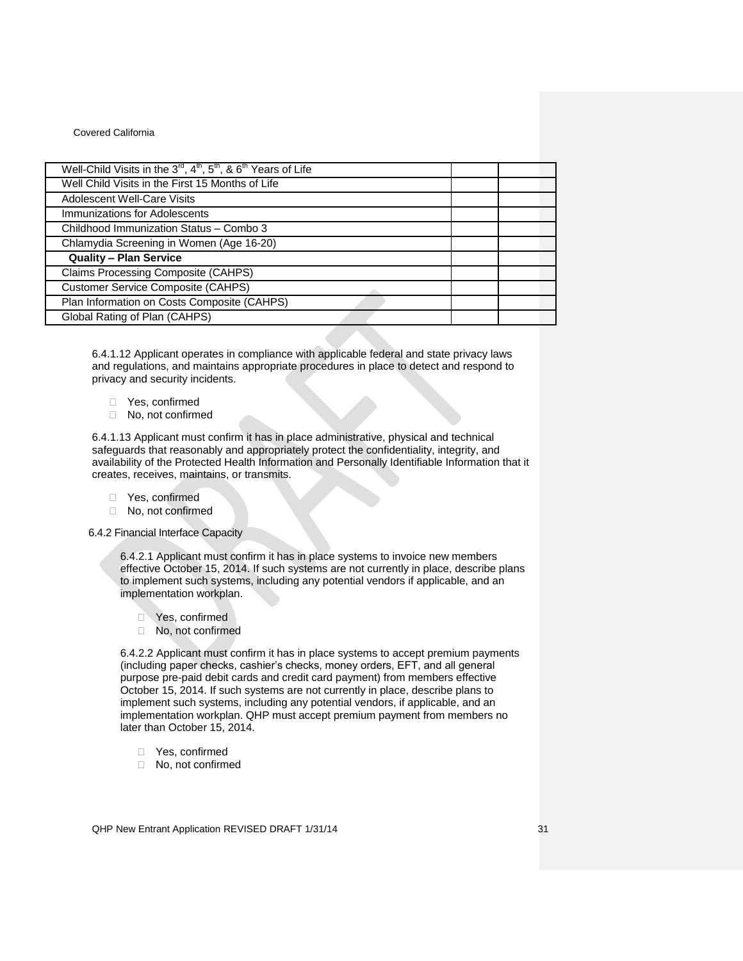| Well-Child Visits in the 3 <sup>rd</sup> , 4 <sup>th</sup> , 5 <sup>th</sup> , & 6 <sup>th</sup> Years of Life |  |
|----------------------------------------------------------------------------------------------------------------|--|
| Well Child Visits in the First 15 Months of Life                                                               |  |
| <b>Adolescent Well-Care Visits</b>                                                                             |  |
| Immunizations for Adolescents                                                                                  |  |
| Childhood Immunization Status - Combo 3                                                                        |  |
| Chlamydia Screening in Women (Age 16-20)                                                                       |  |
| <b>Quality - Plan Service</b>                                                                                  |  |
| Claims Processing Composite (CAHPS)                                                                            |  |
| <b>Customer Service Composite (CAHPS)</b>                                                                      |  |
| Plan Information on Costs Composite (CAHPS)                                                                    |  |
| Global Rating of Plan (CAHPS)                                                                                  |  |

6.4.1.12 Applicant operates in compliance with applicable federal and state privacy laws and regulations, and maintains appropriate procedures in place to detect and respond to privacy and security incidents.

- □ Yes, confirmed<br>□ No, not confirm
- No, not confirmed

6.4.1.13 Applicant must confirm it has in place administrative, physical and technical safeguards that reasonably and appropriately protect the confidentiality, integrity, and availability of the Protected Health Information and Personally Identifiable Information that it creates, receives, maintains, or transmits.

- Yes, confirmed
- □ No, not confirmed

### <span id="page-30-0"></span>6.4.2 Financial Interface Capacity

6.4.2.1 Applicant must confirm it has in place systems to invoice new members effective October 15, 2014. If such systems are not currently in place, describe plans to implement such systems, including any potential vendors if applicable, and an implementation workplan.

- □ Yes, confirmed
- □ No, not confirmed

6.4.2.2 Applicant must confirm it has in place systems to accept premium payments (including paper checks, cashier's checks, money orders, EFT, and all general purpose pre-paid debit cards and credit card payment) from members effective October 15, 2014. If such systems are not currently in place, describe plans to implement such systems, including any potential vendors, if applicable, and an implementation workplan. QHP must accept premium payment from members no later than October 15, 2014.

- □ Yes, confirmed
- □ No, not confirmed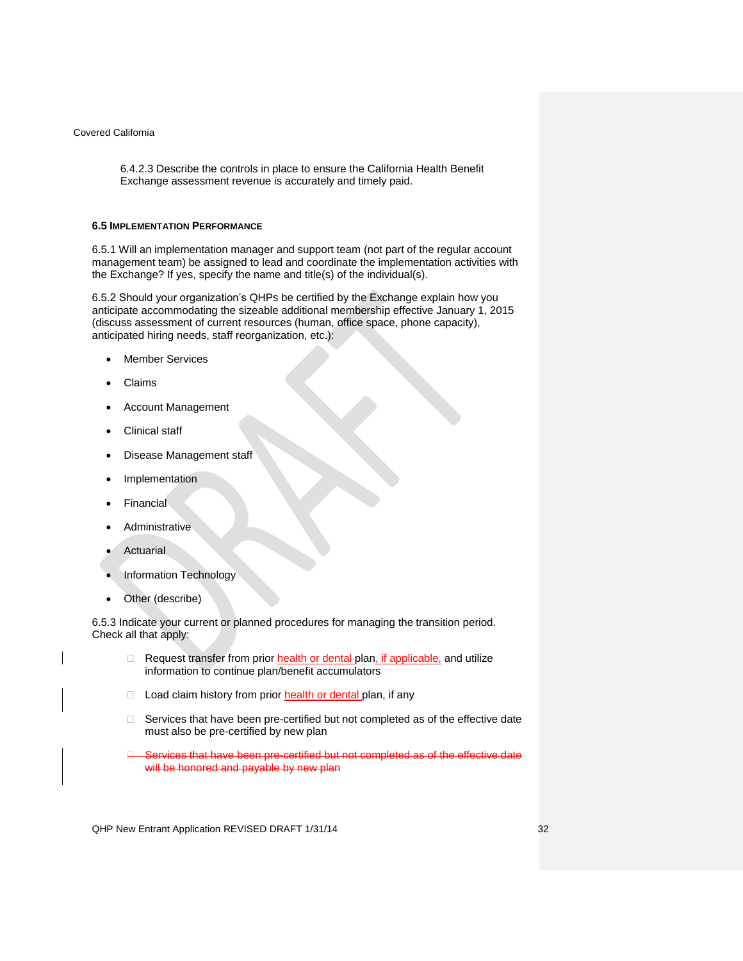6.4.2.3 Describe the controls in place to ensure the California Health Benefit Exchange assessment revenue is accurately and timely paid.

#### <span id="page-31-0"></span>**6.5 IMPLEMENTATION PERFORMANCE**

6.5.1 Will an implementation manager and support team (not part of the regular account management team) be assigned to lead and coordinate the implementation activities with the Exchange? If yes, specify the name and title(s) of the individual(s).

6.5.2 Should your organization's QHPs be certified by the Exchange explain how you anticipate accommodating the sizeable additional membership effective January 1, 2015 (discuss assessment of current resources (human, office space, phone capacity), anticipated hiring needs, staff reorganization, etc.):

- Member Services
- Claims
- Account Management
- Clinical staff
- Disease Management staff
- Implementation
- Financial
- Administrative
- Actuarial
- Information Technology
- Other (describe)

6.5.3 Indicate your current or planned procedures for managing the transition period. Check all that apply:

- Request transfer from prior health or dental plan, if applicable, and utilize information to continue plan/benefit accumulators
- D Load claim history from prior health or dental plan, if any
- $\Box$  Services that have been pre-certified but not completed as of the effective date must also be pre-certified by new plan
- Services that have been pre-certified but not completed as of the effective date will be honored and payable by new plan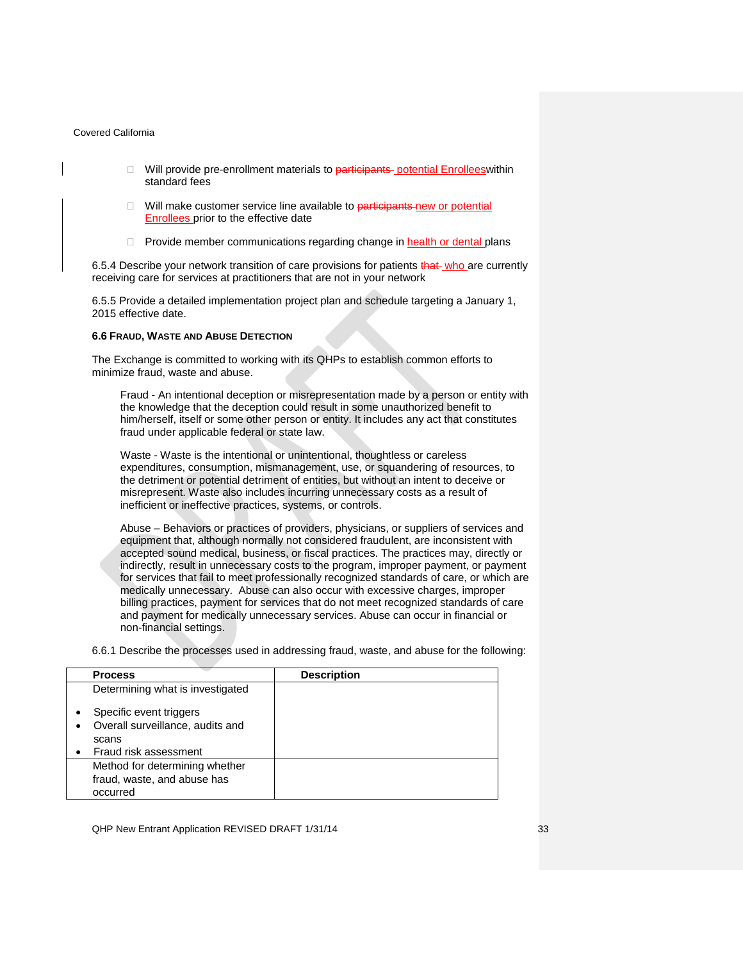- $\Box$  Will provide pre-enrollment materials to participants potential Enrolleeswithin standard fees
- □ Will make customer service line available to participants new or potential Enrollees prior to the effective date
- $\Box$  Provide member communications regarding change in health or dental plans

6.5.4 Describe your network transition of care provisions for patients that who are currently receiving care for services at practitioners that are not in your network

6.5.5 Provide a detailed implementation project plan and schedule targeting a January 1, 2015 effective date.

### <span id="page-32-0"></span>**6.6 FRAUD, WASTE AND ABUSE DETECTION**

The Exchange is committed to working with its QHPs to establish common efforts to minimize fraud, waste and abuse.

Fraud - An intentional deception or misrepresentation made by a person or entity with the knowledge that the deception could result in some unauthorized benefit to him/herself, itself or some other person or entity. It includes any act that constitutes fraud under applicable federal or state law.

Waste - Waste is the intentional or unintentional, thoughtless or careless expenditures, consumption, mismanagement, use, or squandering of resources, to the detriment or potential detriment of entities, but without an intent to deceive or misrepresent. Waste also includes incurring unnecessary costs as a result of inefficient or ineffective practices, systems, or controls.

Abuse – Behaviors or practices of providers, physicians, or suppliers of services and equipment that, although normally not considered fraudulent, are inconsistent with accepted sound medical, business, or fiscal practices. The practices may, directly or indirectly, result in unnecessary costs to the program, improper payment, or payment for services that fail to meet professionally recognized standards of care, or which are medically unnecessary. Abuse can also occur with excessive charges, improper billing practices, payment for services that do not meet recognized standards of care and payment for medically unnecessary services. Abuse can occur in financial or non-financial settings.

6.6.1 Describe the processes used in addressing fraud, waste, and abuse for the following:

| <b>Process</b>                                | <b>Description</b> |
|-----------------------------------------------|--------------------|
| Determining what is investigated              |                    |
| Specific event triggers<br>٠                  |                    |
| Overall surveillance, audits and<br>$\bullet$ |                    |
| scans                                         |                    |
| Fraud risk assessment                         |                    |
| Method for determining whether                |                    |
| fraud, waste, and abuse has                   |                    |
| occurred                                      |                    |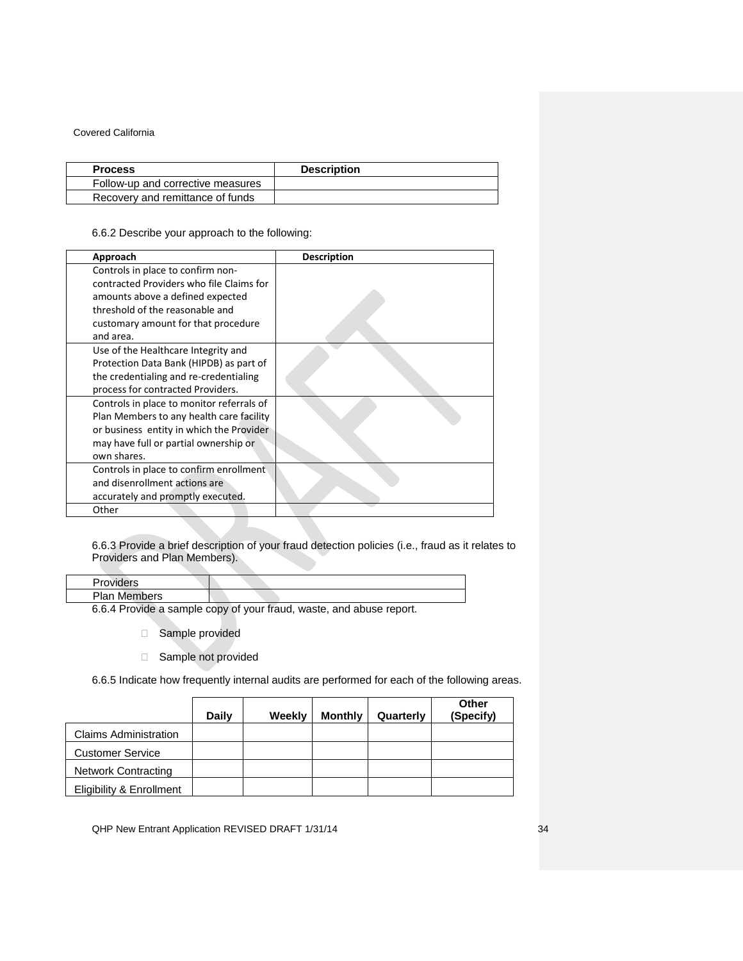| <b>Process</b>                    | <b>Description</b> |
|-----------------------------------|--------------------|
| Follow-up and corrective measures |                    |
| Recovery and remittance of funds  |                    |

# 6.6.2 Describe your approach to the following:

| Approach                                  | <b>Description</b> |
|-------------------------------------------|--------------------|
| Controls in place to confirm non-         |                    |
| contracted Providers who file Claims for  |                    |
| amounts above a defined expected          |                    |
| threshold of the reasonable and           |                    |
| customary amount for that procedure       |                    |
| and area.                                 |                    |
| Use of the Healthcare Integrity and       |                    |
| Protection Data Bank (HIPDB) as part of   |                    |
| the credentialing and re-credentialing    |                    |
| process for contracted Providers.         |                    |
| Controls in place to monitor referrals of |                    |
| Plan Members to any health care facility  |                    |
| or business entity in which the Provider  |                    |
| may have full or partial ownership or     |                    |
| own shares.                               |                    |
| Controls in place to confirm enrollment   |                    |
| and disenrollment actions are             |                    |
| accurately and promptly executed.         |                    |
| Other                                     |                    |

## 6.6.3 Provide a brief description of your fraud detection policies (i.e., fraud as it relates to Providers and Plan Members).

| Providers           |                                                                     |
|---------------------|---------------------------------------------------------------------|
| <b>Plan Members</b> |                                                                     |
|                     | 6.6.4 Provide a sample copy of your fraud, waste, and abuse report. |

Sample provided

□ Sample not provided

6.6.5 Indicate how frequently internal audits are performed for each of the following areas.

|                              | Daily | Weekly | <b>Monthly</b> | Quarterly | Other<br>(Specify) |
|------------------------------|-------|--------|----------------|-----------|--------------------|
| <b>Claims Administration</b> |       |        |                |           |                    |
| <b>Customer Service</b>      |       |        |                |           |                    |
| <b>Network Contracting</b>   |       |        |                |           |                    |
| Eligibility & Enrollment     |       |        |                |           |                    |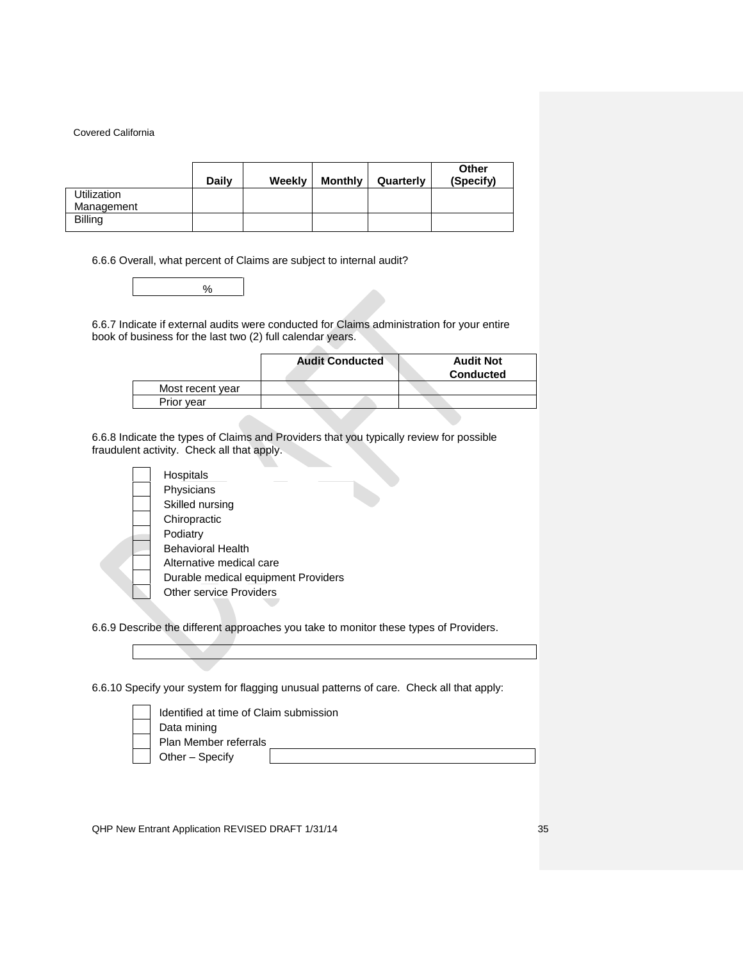|                    | <b>Daily</b> | Weekly | <b>Monthly</b> | Quarterly | Other<br>(Specify) |
|--------------------|--------------|--------|----------------|-----------|--------------------|
| <b>Utilization</b> |              |        |                |           |                    |
| Management         |              |        |                |           |                    |
| <b>Billing</b>     |              |        |                |           |                    |

6.6.6 Overall, what percent of Claims are subject to internal audit?



6.6.7 Indicate if external audits were conducted for Claims administration for your entire book of business for the last two (2) full calendar years.

|                  | <b>Audit Conducted</b> | <b>Audit Not</b><br><b>Conducted</b> |
|------------------|------------------------|--------------------------------------|
| Most recent year |                        |                                      |
| Prior year       |                        |                                      |

 $\sim$ 

6.6.8 Indicate the types of Claims and Providers that you typically review for possible fraudulent activity. Check all that apply.

|  | Hospitals                           |  |
|--|-------------------------------------|--|
|  | Physicians                          |  |
|  | Skilled nursing                     |  |
|  | Chiropractic                        |  |
|  | Podiatry                            |  |
|  | Behavioral Health                   |  |
|  | Alternative medical care            |  |
|  | Durable medical equipment Providers |  |
|  | <b>Other service Providers</b>      |  |
|  |                                     |  |

6.6.9 Describe the different approaches you take to monitor these types of Providers.

6.6.10 Specify your system for flagging unusual patterns of care. Check all that apply:

| Identified at time of Claim submission |
|----------------------------------------|
| Data mining                            |
| Plan Member referrals                  |
| Other - Specify                        |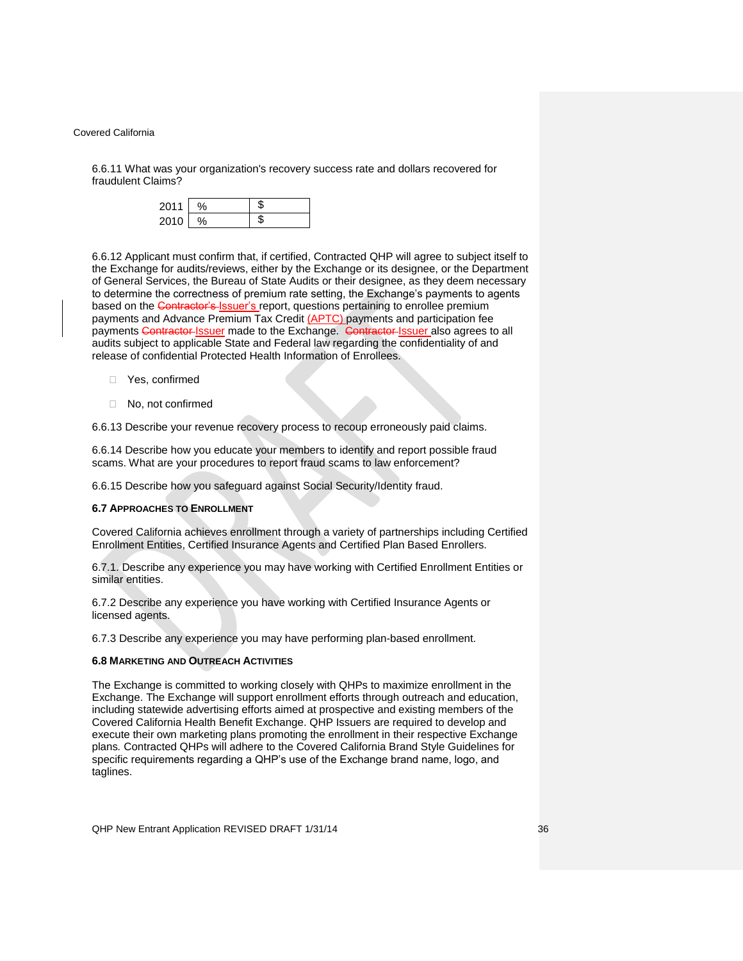6.6.11 What was your organization's recovery success rate and dollars recovered for fraudulent Claims?

| 2011 |  |
|------|--|
| 2010 |  |

6.6.12 Applicant must confirm that, if certified, Contracted QHP will agree to subject itself to the Exchange for audits/reviews, either by the Exchange or its designee, or the Department of General Services, the Bureau of State Audits or their designee, as they deem necessary to determine the correctness of premium rate setting, the Exchange's payments to agents based on the Contractor's Issuer's report, questions pertaining to enrollee premium payments and Advance Premium Tax Credit (APTC) payments and participation fee payments Contractor-Issuer made to the Exchange. Contractor-Issuer also agrees to all audits subject to applicable State and Federal law regarding the confidentiality of and release of confidential Protected Health Information of Enrollees.

- Yes, confirmed
- □ No. not confirmed

6.6.13 Describe your revenue recovery process to recoup erroneously paid claims.

6.6.14 Describe how you educate your members to identify and report possible fraud scams. What are your procedures to report fraud scams to law enforcement?

6.6.15 Describe how you safeguard against Social Security/Identity fraud.

#### <span id="page-35-0"></span>**6.7 APPROACHES TO ENROLLMENT**

Covered California achieves enrollment through a variety of partnerships including Certified Enrollment Entities, Certified Insurance Agents and Certified Plan Based Enrollers.

6.7.1. Describe any experience you may have working with Certified Enrollment Entities or similar entities.

6.7.2 Describe any experience you have working with Certified Insurance Agents or licensed agents.

6.7.3 Describe any experience you may have performing plan-based enrollment.

### <span id="page-35-1"></span>**6.8 MARKETING AND OUTREACH ACTIVITIES**

The Exchange is committed to working closely with QHPs to maximize enrollment in the Exchange. The Exchange will support enrollment efforts through outreach and education, including statewide advertising efforts aimed at prospective and existing members of the Covered California Health Benefit Exchange. QHP Issuers are required to develop and execute their own marketing plans promoting the enrollment in their respective Exchange plans*.* Contracted QHPs will adhere to the Covered California Brand Style Guidelines for specific requirements regarding a QHP's use of the Exchange brand name, logo, and taglines.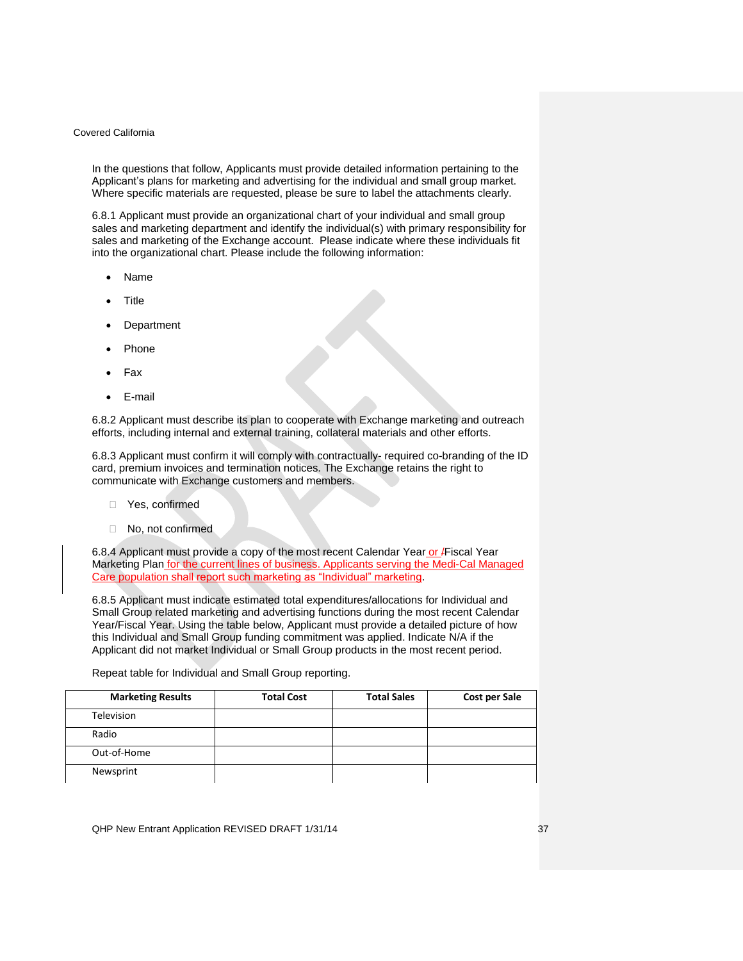In the questions that follow, Applicants must provide detailed information pertaining to the Applicant's plans for marketing and advertising for the individual and small group market. Where specific materials are requested, please be sure to label the attachments clearly.

6.8.1 Applicant must provide an organizational chart of your individual and small group sales and marketing department and identify the individual(s) with primary responsibility for sales and marketing of the Exchange account. Please indicate where these individuals fit into the organizational chart. Please include the following information:

- Name
- Title
- Department
- Phone
- Fax
- E-mail

6.8.2 Applicant must describe its plan to cooperate with Exchange marketing and outreach efforts, including internal and external training, collateral materials and other efforts.

6.8.3 Applicant must confirm it will comply with contractually- required co-branding of the ID card, premium invoices and termination notices. The Exchange retains the right to communicate with Exchange customers and members.

- □ Yes, confirmed
- No, not confirmed

6.8.4 Applicant must provide a copy of the most recent Calendar Year or Fiscal Year Marketing Plan for the current lines of business. Applicants serving the Medi-Cal Managed Care population shall report such marketing as "Individual" marketing.

6.8.5 Applicant must indicate estimated total expenditures/allocations for Individual and Small Group related marketing and advertising functions during the most recent Calendar Year/Fiscal Year. Using the table below, Applicant must provide a detailed picture of how this Individual and Small Group funding commitment was applied. Indicate N/A if the Applicant did not market Individual or Small Group products in the most recent period.

Repeat table for Individual and Small Group reporting.

| <b>Marketing Results</b> | <b>Total Cost</b> | <b>Total Sales</b> | <b>Cost per Sale</b> |
|--------------------------|-------------------|--------------------|----------------------|
| <b>Television</b>        |                   |                    |                      |
| Radio                    |                   |                    |                      |
| Out-of-Home              |                   |                    |                      |
| Newsprint                |                   |                    |                      |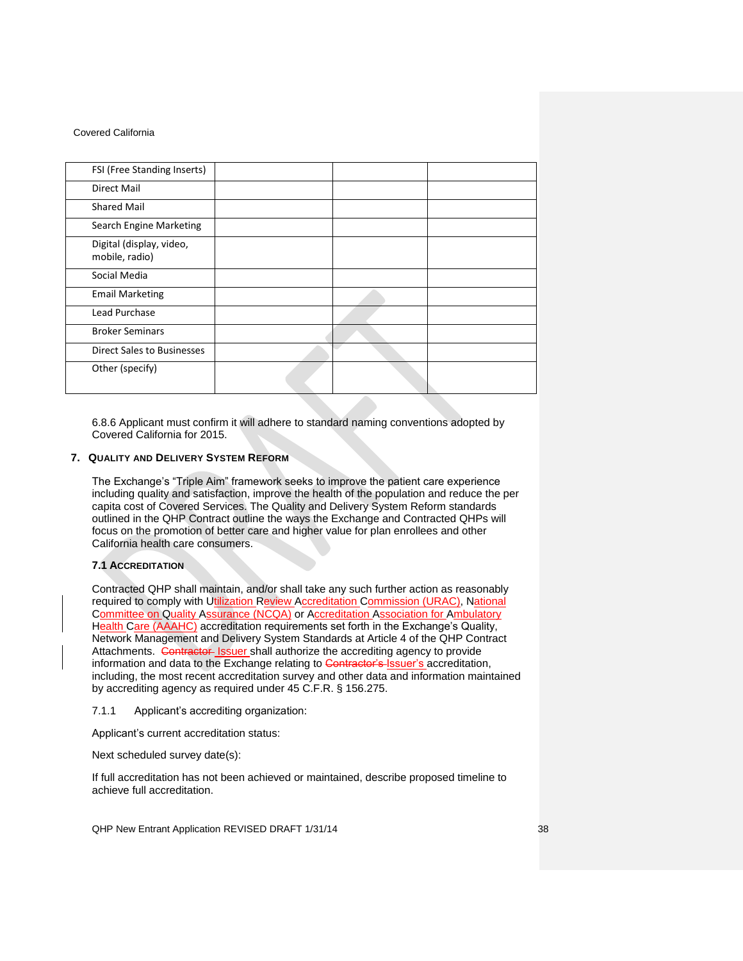| FSI (Free Standing Inserts)                |  |  |
|--------------------------------------------|--|--|
| Direct Mail                                |  |  |
| <b>Shared Mail</b>                         |  |  |
| Search Engine Marketing                    |  |  |
| Digital (display, video,<br>mobile, radio) |  |  |
| Social Media                               |  |  |
| <b>Email Marketing</b>                     |  |  |
| <b>Lead Purchase</b>                       |  |  |
| <b>Broker Seminars</b>                     |  |  |
| Direct Sales to Businesses                 |  |  |
| Other (specify)                            |  |  |

6.8.6 Applicant must confirm it will adhere to standard naming conventions adopted by Covered California for 2015.

### <span id="page-37-0"></span>**7. QUALITY AND DELIVERY SYSTEM REFORM**

The Exchange's "Triple Aim" framework seeks to improve the patient care experience including quality and satisfaction, improve the health of the population and reduce the per capita cost of Covered Services. The Quality and Delivery System Reform standards outlined in the QHP Contract outline the ways the Exchange and Contracted QHPs will focus on the promotion of better care and higher value for plan enrollees and other California health care consumers.

### <span id="page-37-1"></span>**7.1 ACCREDITATION**

Contracted QHP shall maintain, and/or shall take any such further action as reasonably required to comply with Utilization Review Accreditation Commission (URAC), National Committee on Quality Assurance (NCQA) or Accreditation Association for Ambulatory Health Care (AAAHC) accreditation requirements set forth in the Exchange's Quality, Network Management and Delivery System Standards at Article 4 of the QHP Contract Attachments. Contractor Issuer shall authorize the accrediting agency to provide information and data to the Exchange relating to Contractor's Issuer's accreditation, including, the most recent accreditation survey and other data and information maintained by accrediting agency as required under 45 C.F.R. § 156.275.

7.1.1 Applicant's accrediting organization:

Applicant's current accreditation status:

Next scheduled survey date(s):

If full accreditation has not been achieved or maintained, describe proposed timeline to achieve full accreditation.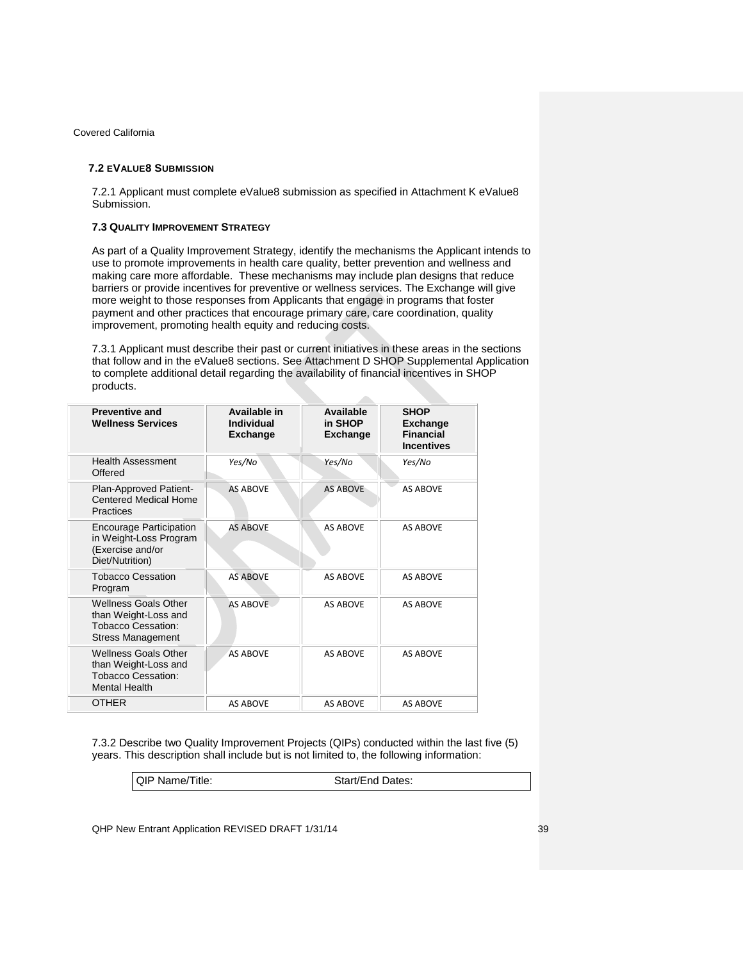# <span id="page-38-0"></span>**7.2 EVALUE8 SUBMISSION**

7.2.1 Applicant must complete eValue8 submission as specified in Attachment K eValue8 Submission.

# <span id="page-38-1"></span>**7.3 QUALITY IMPROVEMENT STRATEGY**

As part of a Quality Improvement Strategy, identify the mechanisms the Applicant intends to use to promote improvements in health care quality, better prevention and wellness and making care more affordable. These mechanisms may include plan designs that reduce barriers or provide incentives for preventive or wellness services. The Exchange will give more weight to those responses from Applicants that engage in programs that foster payment and other practices that encourage primary care, care coordination, quality improvement, promoting health equity and reducing costs.

7.3.1 Applicant must describe their past or current initiatives in these areas in the sections that follow and in the eValue8 sections. See Attachment D SHOP Supplemental Application to complete additional detail regarding the availability of financial incentives in SHOP products.

 $\sim$ 

| <b>Preventive and</b><br><b>Wellness Services</b>                                                            | Available in<br>Individual<br>Exchange | Available<br>in SHOP<br>Exchange | <b>SHOP</b><br><b>Exchange</b><br><b>Financial</b><br><b>Incentives</b> |
|--------------------------------------------------------------------------------------------------------------|----------------------------------------|----------------------------------|-------------------------------------------------------------------------|
| <b>Health Assessment</b><br>Offered                                                                          | Yes/No                                 | Yes/No                           | Yes/No                                                                  |
| Plan-Approved Patient-<br><b>Centered Medical Home</b><br>Practices                                          | <b>AS ABOVE</b>                        | <b>AS ABOVE</b>                  | <b>AS ABOVE</b>                                                         |
| <b>Encourage Participation</b><br>in Weight-Loss Program<br>(Exercise and/or<br>Diet/Nutrition)              | <b>AS ABOVE</b>                        | <b>AS ABOVE</b>                  | <b>AS ABOVE</b>                                                         |
| <b>Tobacco Cessation</b><br>Program                                                                          | <b>AS ABOVE</b>                        | <b>AS ABOVE</b>                  | <b>AS ABOVE</b>                                                         |
| <b>Wellness Goals Other</b><br>than Weight-Loss and<br><b>Tobacco Cessation:</b><br><b>Stress Management</b> | <b>AS ABOVE</b>                        | <b>AS AROVE</b>                  | <b>AS ABOVE</b>                                                         |
| <b>Wellness Goals Other</b><br>than Weight-Loss and<br><b>Tobacco Cessation:</b><br><b>Mental Health</b>     | <b>AS ABOVE</b>                        | <b>AS ABOVE</b>                  | <b>AS ABOVE</b>                                                         |
| OTHER                                                                                                        | <b>AS ABOVE</b>                        | <b>AS ABOVE</b>                  | <b>AS ABOVE</b>                                                         |

7.3.2 Describe two Quality Improvement Projects (QIPs) conducted within the last five (5) years. This description shall include but is not limited to, the following information:

QIP Name/Title: Start/End Dates: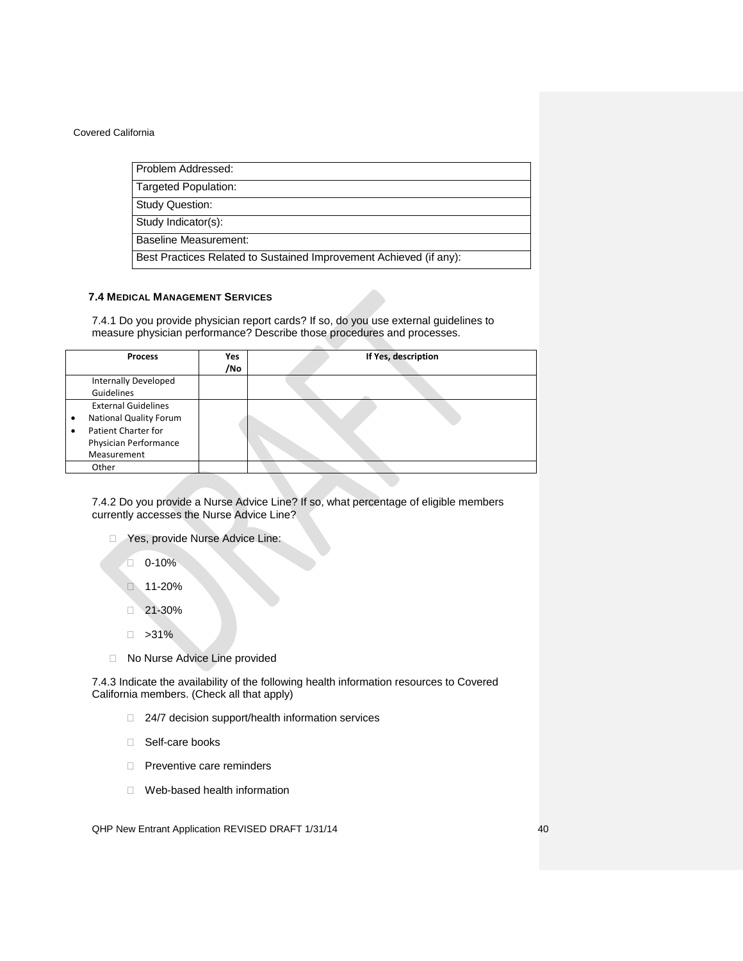Problem Addressed:

Targeted Population:

Study Question:

Study Indicator(s):

Baseline Measurement:

Best Practices Related to Sustained Improvement Achieved (if any):

## <span id="page-39-0"></span>**7.4 MEDICAL MANAGEMENT SERVICES**

7.4.1 Do you provide physician report cards? If so, do you use external guidelines to measure physician performance? Describe those procedures and processes.

| <b>Process</b>                                                                                                                       | <b>Yes</b><br>/No | If Yes, description |
|--------------------------------------------------------------------------------------------------------------------------------------|-------------------|---------------------|
| Internally Developed<br>Guidelines                                                                                                   |                   |                     |
| <b>External Guidelines</b><br><b>National Quality Forum</b><br>٠<br>Patient Charter for<br>٠<br>Physician Performance<br>Measurement |                   |                     |
| Other                                                                                                                                |                   |                     |

7.4.2 Do you provide a Nurse Advice Line? If so, what percentage of eligible members currently accesses the Nurse Advice Line?

- **Nes, provide Nurse Advice Line:** 
	- $\Box$  0-10%
	- □ 11-20%
	- $21-30%$
	- $\Box$  >31%
- □ No Nurse Advice Line provided

7.4.3 Indicate the availability of the following health information resources to Covered California members. (Check all that apply)

- □ 24/7 decision support/health information services
- □ Self-care books
- □ Preventive care reminders
- □ Web-based health information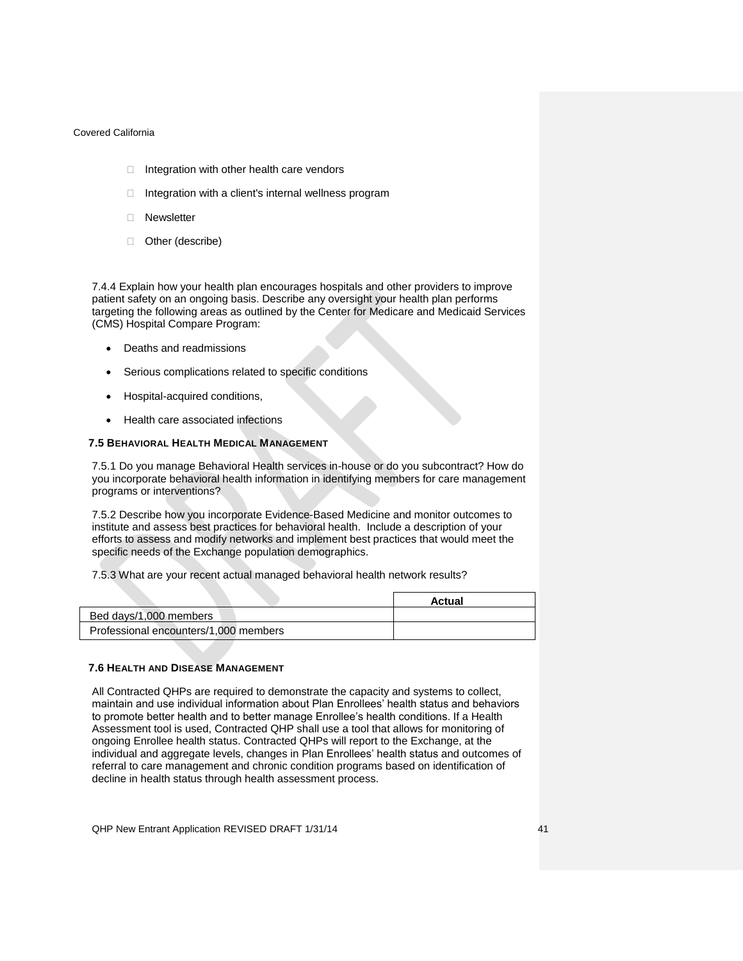- $\Box$  Integration with other health care vendors
- $\Box$  Integration with a client's internal wellness program
- **Newsletter**
- □ Other (describe)

7.4.4 Explain how your health plan encourages hospitals and other providers to improve patient safety on an ongoing basis. Describe any oversight your health plan performs targeting the following areas as outlined by the Center for Medicare and Medicaid Services (CMS) Hospital Compare Program:

- Deaths and readmissions
- Serious complications related to specific conditions
- Hospital-acquired conditions,
- Health care associated infections

### <span id="page-40-0"></span>**7.5 BEHAVIORAL HEALTH MEDICAL MANAGEMENT**

7.5.1 Do you manage Behavioral Health services in-house or do you subcontract? How do you incorporate behavioral health information in identifying members for care management programs or interventions?

7.5.2 Describe how you incorporate Evidence-Based Medicine and monitor outcomes to institute and assess best practices for behavioral health. Include a description of your efforts to assess and modify networks and implement best practices that would meet the specific needs of the Exchange population demographics.

7.5.3 What are your recent actual managed behavioral health network results?

|                                       | Actual |
|---------------------------------------|--------|
| Bed days/1,000 members                |        |
| Professional encounters/1,000 members |        |

# <span id="page-40-1"></span>**7.6 HEALTH AND DISEASE MANAGEMENT**

All Contracted QHPs are required to demonstrate the capacity and systems to collect, maintain and use individual information about Plan Enrollees' health status and behaviors to promote better health and to better manage Enrollee's health conditions. If a Health Assessment tool is used, Contracted QHP shall use a tool that allows for monitoring of ongoing Enrollee health status. Contracted QHPs will report to the Exchange, at the individual and aggregate levels, changes in Plan Enrollees' health status and outcomes of referral to care management and chronic condition programs based on identification of decline in health status through health assessment process.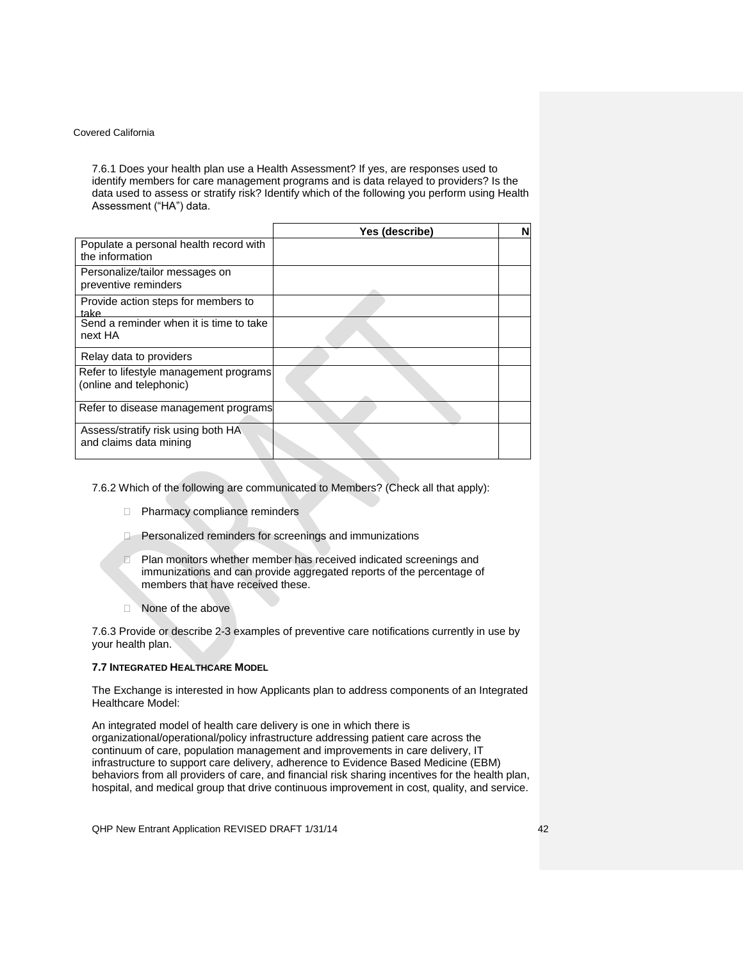7.6.1 Does your health plan use a Health Assessment? If yes, are responses used to identify members for care management programs and is data relayed to providers? Is the data used to assess or stratify risk? Identify which of the following you perform using Health Assessment ("HA") data.

|                                                                   | Yes (describe) | N |
|-------------------------------------------------------------------|----------------|---|
| Populate a personal health record with<br>the information         |                |   |
| Personalize/tailor messages on<br>preventive reminders            |                |   |
| Provide action steps for members to<br>take                       |                |   |
| Send a reminder when it is time to take<br>next HA                |                |   |
| Relay data to providers                                           |                |   |
| Refer to lifestyle management programs<br>(online and telephonic) |                |   |
| Refer to disease management programs                              |                |   |
| Assess/stratify risk using both HA<br>and claims data mining      |                |   |

7.6.2 Which of the following are communicated to Members? (Check all that apply):

- **Pharmacy compliance reminders**
- **Personalized reminders for screenings and immunizations**
- **Plan monitors whether member has received indicated screenings and** immunizations and can provide aggregated reports of the percentage of members that have received these.
- □ None of the above

7.6.3 Provide or describe 2-3 examples of preventive care notifications currently in use by your health plan.

# <span id="page-41-0"></span>**7.7 INTEGRATED HEALTHCARE MODEL**

The Exchange is interested in how Applicants plan to address components of an Integrated Healthcare Model:

An integrated model of health care delivery is one in which there is organizational/operational/policy infrastructure addressing patient care across the continuum of care, population management and improvements in care delivery, IT infrastructure to support care delivery, adherence to Evidence Based Medicine (EBM) behaviors from all providers of care, and financial risk sharing incentives for the health plan, hospital, and medical group that drive continuous improvement in cost, quality, and service.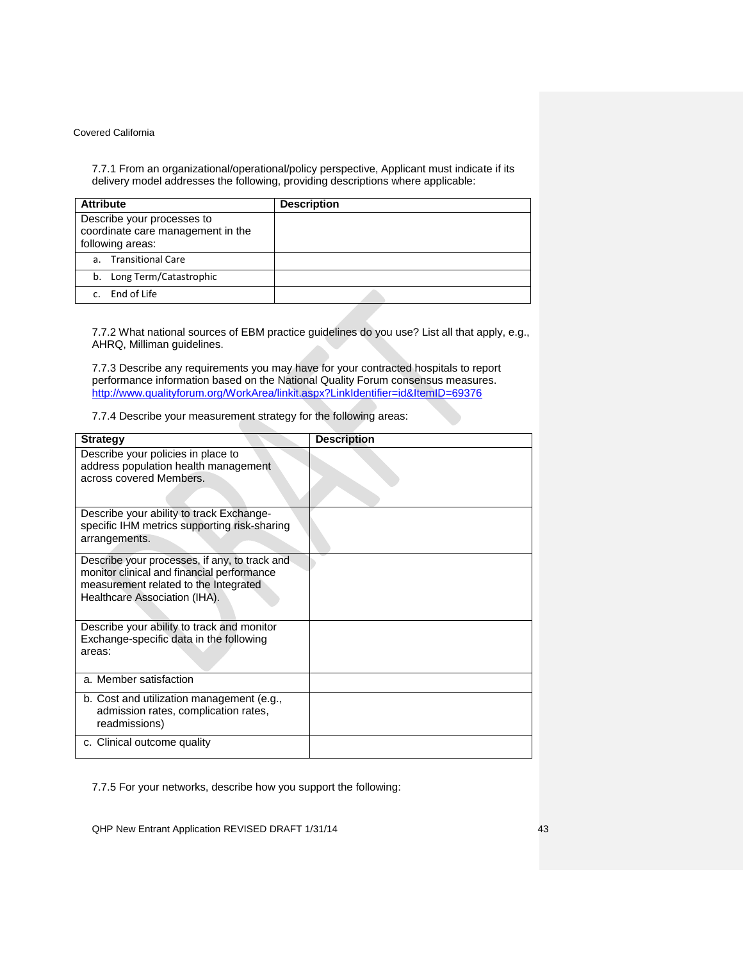7.7.1 From an organizational/operational/policy perspective, Applicant must indicate if its delivery model addresses the following, providing descriptions where applicable:

| <b>Attribute</b>                                                                    | <b>Description</b> |
|-------------------------------------------------------------------------------------|--------------------|
| Describe your processes to<br>coordinate care management in the<br>following areas: |                    |
| a. Transitional Care                                                                |                    |
| b. Long Term/Catastrophic                                                           |                    |
| c. End of Life                                                                      |                    |

7.7.2 What national sources of EBM practice guidelines do you use? List all that apply, e.g., AHRQ, Milliman guidelines.

7.7.3 Describe any requirements you may have for your contracted hospitals to report performance information based on the National Quality Forum consensus measures. <http://www.qualityforum.org/WorkArea/linkit.aspx?LinkIdentifier=id&ItemID=69376>

7.7.4 Describe your measurement strategy for the following areas:

| <b>Strategy</b>                                                                                                                                                       | <b>Description</b> |
|-----------------------------------------------------------------------------------------------------------------------------------------------------------------------|--------------------|
| Describe your policies in place to<br>address population health management<br>across covered Members.                                                                 |                    |
| Describe your ability to track Exchange-<br>specific IHM metrics supporting risk-sharing<br>arrangements.                                                             |                    |
| Describe your processes, if any, to track and<br>monitor clinical and financial performance<br>measurement related to the Integrated<br>Healthcare Association (IHA). |                    |
| Describe your ability to track and monitor<br>Exchange-specific data in the following<br>areas:                                                                       |                    |
| a. Member satisfaction                                                                                                                                                |                    |
| b. Cost and utilization management (e.g.,<br>admission rates, complication rates,<br>readmissions)                                                                    |                    |
| c. Clinical outcome quality                                                                                                                                           |                    |

7.7.5 For your networks, describe how you support the following: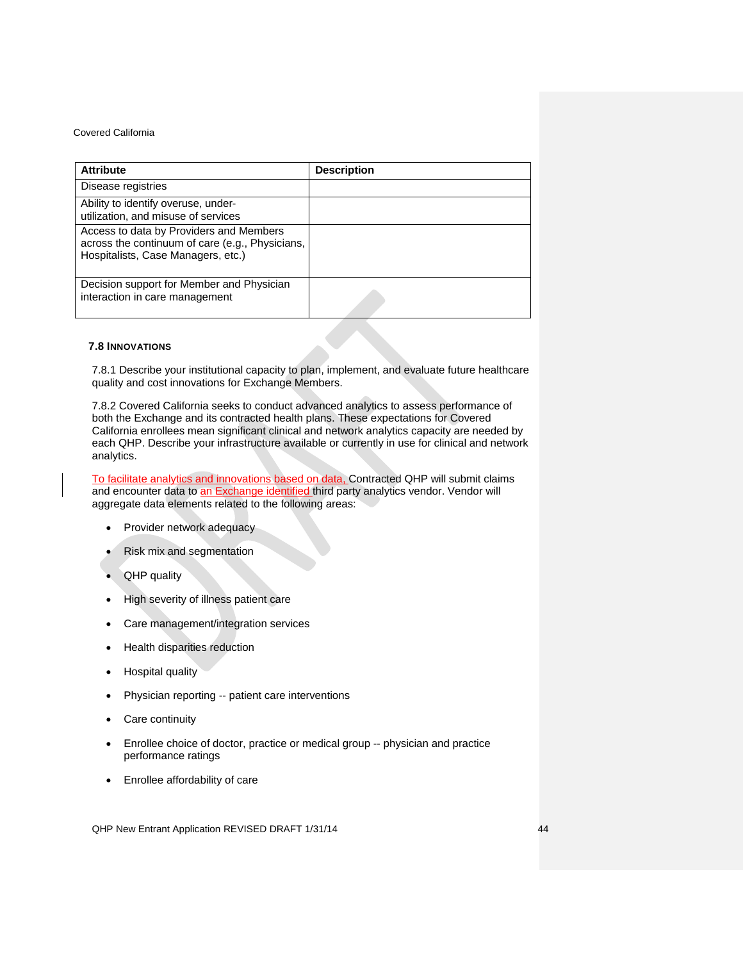| <b>Attribute</b>                                                                                                                 | <b>Description</b> |
|----------------------------------------------------------------------------------------------------------------------------------|--------------------|
| Disease registries                                                                                                               |                    |
| Ability to identify overuse, under-<br>utilization, and misuse of services                                                       |                    |
| Access to data by Providers and Members<br>across the continuum of care (e.g., Physicians,<br>Hospitalists, Case Managers, etc.) |                    |
| Decision support for Member and Physician<br>interaction in care management                                                      |                    |

# <span id="page-43-0"></span>**7.8 INNOVATIONS**

7.8.1 Describe your institutional capacity to plan, implement, and evaluate future healthcare quality and cost innovations for Exchange Members.

7.8.2 Covered California seeks to conduct advanced analytics to assess performance of both the Exchange and its contracted health plans. These expectations for Covered California enrollees mean significant clinical and network analytics capacity are needed by each QHP. Describe your infrastructure available or currently in use for clinical and network analytics.

To facilitate analytics and innovations based on data, Contracted QHP will submit claims and encounter data to an Exchange identified third party analytics vendor. Vendor will aggregate data elements related to the following areas:

- Provider network adequacy
- Risk mix and segmentation
- QHP quality
- High severity of illness patient care
- Care management/integration services
- Health disparities reduction
- Hospital quality
- Physician reporting -- patient care interventions
- Care continuity
- Enrollee choice of doctor, practice or medical group -- physician and practice performance ratings
- Enrollee affordability of care